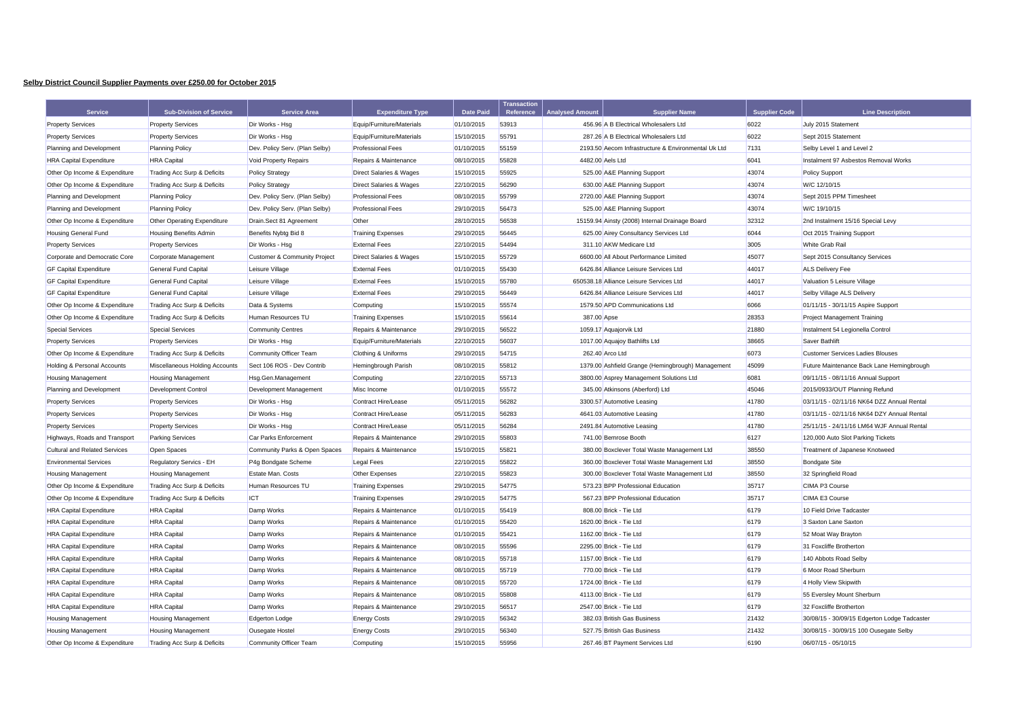## **Selby District Council Supplier Payments over £250.00 for October 2015**

| <b>Service</b>                         | <b>Sub-Division of Service</b>         | <b>Service Area</b>                     | <b>Expenditure Type</b>            | <b>Date Paid</b> | <b>Transaction</b><br>Reference | <b>Analysed Amount</b>                | <b>Supplier Name</b>                                | <b>Supplier Code</b> | <b>Line Description</b>                      |
|----------------------------------------|----------------------------------------|-----------------------------------------|------------------------------------|------------------|---------------------------------|---------------------------------------|-----------------------------------------------------|----------------------|----------------------------------------------|
| <b>Property Services</b>               | <b>Property Services</b>               | Dir Works - Hsg                         | Equip/Furniture/Materials          | 01/10/2015       | 53913                           |                                       | 456.96 A B Electrical Wholesalers Ltd               | 6022                 | July 2015 Statement                          |
| <b>Property Services</b>               | <b>Property Services</b>               | Dir Works - Hsg                         | Equip/Furniture/Materials          | 15/10/2015       | 55791                           | 287.26 A B Electrical Wholesalers Ltd |                                                     | 6022                 | Sept 2015 Statement                          |
| Planning and Development               | <b>Planning Policy</b>                 | Dev. Policy Serv. (Plan Selby)          | <b>Professional Fees</b>           | 01/10/2015       | 55159                           |                                       | 2193.50 Aecom Infrastructure & Environmental Uk Ltd | 7131                 | Selby Level 1 and Level 2                    |
| <b>HRA Capital Expenditure</b>         | <b>HRA</b> Capital                     | Void Property Repairs                   | Repairs & Maintenance              | 08/10/2015       | 55828                           | 4482.00 Aels Ltd                      |                                                     | 6041                 | Instalment 97 Asbestos Removal Works         |
| Other Op Income & Expenditure          | Trading Acc Surp & Deficits            | <b>Policy Strategy</b>                  | <b>Direct Salaries &amp; Wages</b> | 15/10/2015       | 55925                           |                                       | 525.00 A&E Planning Support                         | 43074                | <b>Policy Support</b>                        |
| Other Op Income & Expenditure          | Trading Acc Surp & Deficits            | <b>Policy Strategy</b>                  | Direct Salaries & Wages            | 22/10/2015       | 56290                           |                                       | 630.00 A&E Planning Support                         | 43074                | W/C 12/10/15                                 |
| Planning and Development               | <b>Planning Policy</b>                 | Dev. Policy Serv. (Plan Selby)          | <b>Professional Fees</b>           | 08/10/2015       | 55799                           |                                       | 2720.00 A&E Planning Support                        | 43074                | Sept 2015 PPM Timesheet                      |
| Planning and Development               | <b>Planning Policy</b>                 | Dev. Policy Serv. (Plan Selby)          | <b>Professional Fees</b>           | 29/10/2015       | 56473                           |                                       | 525.00 A&E Planning Support                         | 43074                | W/C 19/10/15                                 |
| Other Op Income & Expenditure          | Other Operating Expenditure            | Drain.Sect 81 Agreement                 | Other                              | 28/10/2015       | 56538                           |                                       | 15159.94 Ainsty (2008) Internal Drainage Board      | 32312                | 2nd Instalment 15/16 Special Levy            |
| <b>Housing General Fund</b>            | <b>Housing Benefits Admin</b>          | Benefits Nybtg Bid 8                    | <b>Training Expenses</b>           | 29/10/2015       | 56445                           |                                       | 625.00 Airey Consultancy Services Ltd               | 6044                 | Oct 2015 Training Support                    |
| <b>Property Services</b>               | <b>Property Services</b>               | Dir Works - Hsg                         | <b>External Fees</b>               | 22/10/2015       | 54494                           |                                       | 311.10 AKW Medicare Ltd                             | 3005                 | <b>White Grab Rail</b>                       |
| Corporate and Democratic Core          | Corporate Management                   | <b>Customer &amp; Community Project</b> | <b>Direct Salaries &amp; Wages</b> | 15/10/2015       | 55729                           |                                       | 6600.00 All About Performance Limited               | 45077                | Sept 2015 Consultancy Services               |
| <b>GF Capital Expenditure</b>          | <b>General Fund Capital</b>            | Leisure Village                         | <b>External Fees</b>               | 01/10/2015       | 55430                           |                                       | 6426.84 Alliance Leisure Services Ltd               | 44017                | <b>ALS Delivery Fee</b>                      |
| <b>GF Capital Expenditure</b>          | <b>General Fund Capital</b>            | Leisure Village                         | <b>External Fees</b>               | 15/10/2015       | 55780                           |                                       | 650538.18 Alliance Leisure Services Ltd             | 44017                | Valuation 5 Leisure Village                  |
| <b>GF Capital Expenditure</b>          | General Fund Capital                   | Leisure Village                         | <b>External Fees</b>               | 29/10/2015       | 56449                           |                                       | 6426.84 Alliance Leisure Services Ltd               | 44017                | Selby Village ALS Delivery                   |
| Other Op Income & Expenditure          | Trading Acc Surp & Deficits            | Data & Systems                          | Computing                          | 15/10/2015       | 55574                           |                                       | 1579.50 APD Communications Ltd                      | 6066                 | 01/11/15 - 30/11/15 Aspire Support           |
| Other Op Income & Expenditure          | <b>Trading Acc Surp &amp; Deficits</b> | Human Resources TU                      | <b>Training Expenses</b>           | 15/10/2015       | 55614                           | 387.00 Apse                           |                                                     | 28353                | <b>Project Management Training</b>           |
| <b>Special Services</b>                | <b>Special Services</b>                | <b>Community Centres</b>                | Repairs & Maintenance              | 29/10/2015       | 56522                           |                                       | 1059.17 Aquajorvik Ltd                              | 21880                | Instalment 54 Legionella Control             |
| <b>Property Services</b>               | <b>Property Services</b>               | Dir Works - Hsg                         | Equip/Furniture/Materials          | 22/10/2015       | 56037                           |                                       | 1017.00 Aquajoy Bathlifts Ltd                       | 38665                | Saver Bathlift                               |
| Other Op Income & Expenditure          | Trading Acc Surp & Deficits            | Community Officer Team                  | Clothing & Uniforms                | 29/10/2015       | 54715                           | 262.40 Arco Ltd                       |                                                     | 6073                 | <b>Customer Services Ladies Blouses</b>      |
| <b>Holding &amp; Personal Accounts</b> | Miscellaneous Holding Accounts         | Sect 106 ROS - Dev Contrib              | Hemingbrough Parish                | 08/10/2015       | 55812                           |                                       | 1379.00 Ashfield Grange (Hemingbrough) Management   | 45099                | Future Maintenance Back Lane Hemingbrough    |
| <b>Housing Management</b>              | <b>Housing Management</b>              | Hsg.Gen.Management                      | Computing                          | 22/10/2015       | 55713                           |                                       | 3800.00 Asprey Management Solutions Ltd             | 6081                 | 09/11/15 - 08/11/16 Annual Support           |
| Planning and Development               | Development Control                    | Development Management                  | Misc Income                        | 01/10/2015       | 55572                           |                                       | 345.00 Atkinsons (Aberford) Ltd                     | 45046                | 2015/0933/OUT Planning Refund                |
| <b>Property Services</b>               | <b>Property Services</b>               | Dir Works - Hsg                         | Contract Hire/Lease                | 05/11/2015       | 56282                           |                                       | 3300.57 Automotive Leasing                          | 41780                | 03/11/15 - 02/11/16 NK64 DZZ Annual Rental   |
| <b>Property Services</b>               | <b>Property Services</b>               | Dir Works - Hsg                         | Contract Hire/Lease                | 05/11/2015       | 56283                           |                                       | 4641.03 Automotive Leasing                          | 41780                | 03/11/15 - 02/11/16 NK64 DZY Annual Rental   |
| <b>Property Services</b>               | <b>Property Services</b>               | Dir Works - Hsg                         | Contract Hire/Lease                | 05/11/2015       | 56284                           |                                       | 2491.84 Automotive Leasing                          | 41780                | 25/11/15 - 24/11/16 LM64 WJF Annual Rental   |
| Highways, Roads and Transport          | <b>Parking Services</b>                | Car Parks Enforcement                   | Repairs & Maintenance              | 29/10/2015       | 55803                           |                                       | 741.00 Bemrose Booth                                | 6127                 | 120,000 Auto Slot Parking Tickets            |
| <b>Cultural and Related Services</b>   | Open Spaces                            | Community Parks & Open Spaces           | Repairs & Maintenance              | 15/10/2015       | 55821                           |                                       | 380.00 Boxclever Total Waste Management Ltd         | 38550                | Treatment of Japanese Knotweed               |
| <b>Environmental Services</b>          | Regulatory Servics - EH                | P4g Bondgate Scheme                     | Legal Fees                         | 22/10/2015       | 55822                           |                                       | 360.00 Boxclever Total Waste Management Ltd         | 38550                | <b>Bondgate Site</b>                         |
| <b>Housing Management</b>              | <b>Housing Management</b>              | Estate Man, Costs                       | Other Expenses                     | 22/10/2015       | 55823                           |                                       | 300.00 Boxclever Total Waste Management Ltd         | 38550                | 32 Springfield Road                          |
| Other Op Income & Expenditure          | <b>Trading Acc Surp &amp; Deficits</b> | Human Resources TU                      | <b>Training Expenses</b>           | 29/10/2015       | 54775                           |                                       | 573.23 BPP Professional Education                   | 35717                | CIMA P3 Course                               |
| Other Op Income & Expenditure          | Trading Acc Surp & Deficits            | <b>ICT</b>                              | <b>Training Expenses</b>           | 29/10/2015       | 54775                           |                                       | 567.23 BPP Professional Education                   | 35717                | CIMA E3 Course                               |
| <b>HRA Capital Expenditure</b>         | <b>HRA</b> Capital                     | Damp Works                              | Repairs & Maintenance              | 01/10/2015       | 55419                           |                                       | 808.00 Brick - Tie Ltd                              | 6179                 | 10 Field Drive Tadcaster                     |
| <b>HRA Capital Expenditure</b>         | <b>HRA</b> Capital                     | Damp Works                              | Repairs & Maintenance              | 01/10/2015       | 55420                           |                                       | 1620.00 Brick - Tie Ltd                             | 6179                 | 3 Saxton Lane Saxton                         |
| <b>HRA Capital Expenditure</b>         | <b>HRA</b> Capital                     | Damp Works                              | Repairs & Maintenance              | 01/10/2015       | 55421                           |                                       | 1162.00 Brick - Tie Ltd                             | 6179                 | 52 Moat Way Brayton                          |
| <b>HRA Capital Expenditure</b>         | <b>HRA</b> Capital                     | Damp Works                              | Repairs & Maintenance              | 08/10/2015       | 55596                           |                                       | 2295.00 Brick - Tie Ltd                             | 6179                 | 31 Foxcliffe Brotherton                      |
| <b>HRA Capital Expenditure</b>         | <b>HRA</b> Capital                     | Damp Works                              | Repairs & Maintenance              | 08/10/2015       | 55718                           |                                       | 1157.00 Brick - Tie Ltd                             | 6179                 | 140 Abbots Road Selby                        |
| <b>HRA Capital Expenditure</b>         | <b>HRA</b> Capital                     | Damp Works                              | Repairs & Maintenance              | 08/10/2015       | 55719                           |                                       | 770.00 Brick - Tie Ltd                              | 6179                 | 6 Moor Road Sherburn                         |
| <b>HRA Capital Expenditure</b>         | <b>HRA</b> Capital                     | Damp Works                              | Repairs & Maintenance              | 08/10/2015       | 55720                           |                                       | 1724.00 Brick - Tie Ltd                             | 6179                 | 4 Holly View Skipwith                        |
| <b>HRA Capital Expenditure</b>         | <b>HRA</b> Capital                     | Damp Works                              | Repairs & Maintenance              | 08/10/2015       | 55808                           |                                       | 4113.00 Brick - Tie Ltd                             | 6179                 | 55 Eversley Mount Sherburn                   |
| <b>HRA Capital Expenditure</b>         | <b>HRA</b> Capital                     | Damp Works                              | Repairs & Maintenance              | 29/10/2015       | 56517                           |                                       | 2547.00 Brick - Tie Ltd                             | 6179                 | 32 Foxcliffe Brotherton                      |
| <b>Housing Management</b>              | <b>Housing Management</b>              | <b>Edgerton Lodge</b>                   | <b>Energy Costs</b>                | 29/10/2015       | 56342                           |                                       | 382.03 British Gas Business                         | 21432                | 30/08/15 - 30/09/15 Edgerton Lodge Tadcaster |
| <b>Housing Management</b>              | <b>Housing Management</b>              | Ousegate Hostel                         | <b>Energy Costs</b>                | 29/10/2015       | 56340                           |                                       | 527.75 British Gas Business                         | 21432                | 30/08/15 - 30/09/15 100 Ousegate Selby       |
| Other Op Income & Expenditure          | Trading Acc Surp & Deficits            | <b>Community Officer Team</b>           | Computing                          | 15/10/2015       | 55956                           |                                       | 267.46 BT Payment Services Ltd                      | 6190                 | 06/07/15 - 05/10/15                          |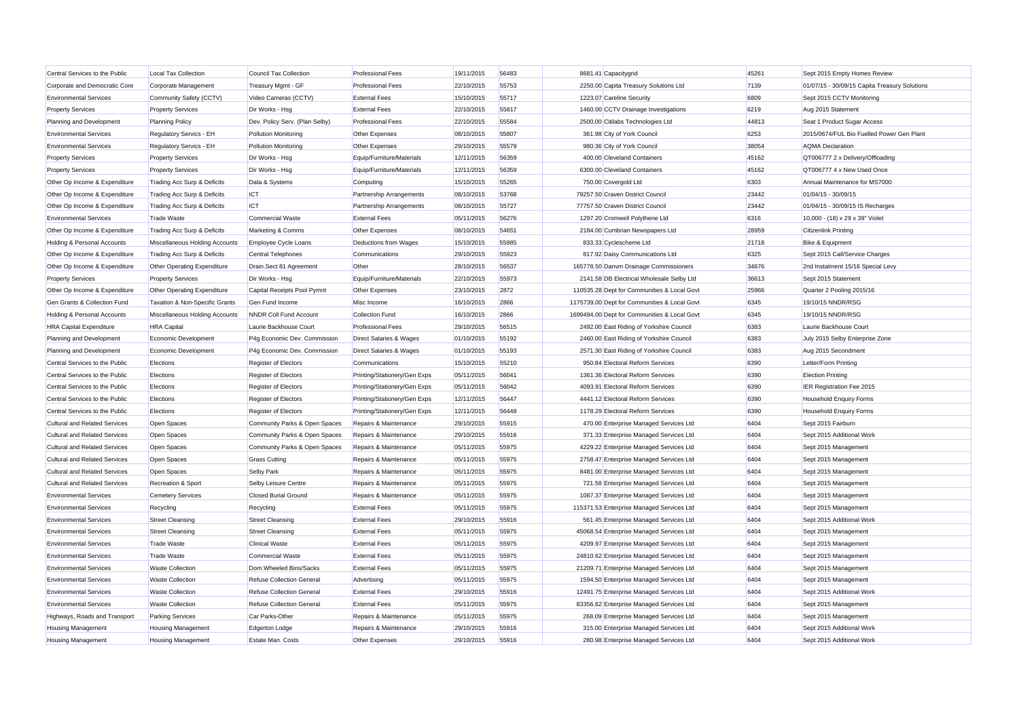| Central Services to the Public         | <b>Local Tax Collection</b>        | Council Tax Collection           | <b>Professional Fees</b>           | 19/11/2015 | 56483 | 8681.41 Capacitygrid                         | 45261 | Sept 2015 Empty Homes Review                  |
|----------------------------------------|------------------------------------|----------------------------------|------------------------------------|------------|-------|----------------------------------------------|-------|-----------------------------------------------|
| Corporate and Democratic Core          | Corporate Management               | Treasury Mgmt - GF               | <b>Professional Fees</b>           | 22/10/2015 | 55753 | 2250.00 Capita Treasury Solutions Ltd        | 7139  | 01/07/15 - 30/09/15 Capita Treasury Solutions |
| <b>Environmental Services</b>          | Community Safety (CCTV)            | Video Cameras (CCTV)             | <b>External Fees</b>               | 15/10/2015 | 55717 | 1223.07 Careline Security                    | 6809  | Sept 2015 CCTV Monitoring                     |
| <b>Property Services</b>               | <b>Property Services</b>           | Dir Works - Hsg                  | <b>External Fees</b>               | 22/10/2015 | 55817 | 1460.00 CCTV Drainage Investigations         | 6219  | Aug 2015 Statement                            |
| Planning and Development               | <b>Planning Policy</b>             | Dev. Policy Serv. (Plan Selby)   | <b>Professional Fees</b>           | 22/10/2015 | 55584 | 2500.00 Citilabs Technologies Ltd            | 44813 | Seat 1 Product Sugar Access                   |
| <b>Environmental Services</b>          | Regulatory Servics - EH            | <b>Pollution Monitoring</b>      | Other Expenses                     | 08/10/2015 | 55807 | 361.98 City of York Council                  | 6253  | 2015/0674/FUL Bio Fuelled Power Gen Plant     |
| <b>Environmental Services</b>          | Regulatory Servics - EH            | <b>Pollution Monitoring</b>      | Other Expenses                     | 29/10/2015 | 55579 | 980.36 City of York Council                  | 38054 | <b>AQMA</b> Declaration                       |
| <b>Property Services</b>               | <b>Property Services</b>           | Dir Works - Hsg                  | Equip/Furniture/Materials          | 12/11/2015 | 56359 | 400.00 Cleveland Containers                  | 45162 | QT006777 2 x Delivery/Offloading              |
| <b>Property Services</b>               | <b>Property Services</b>           | Dir Works - Hsg                  | Equip/Furniture/Materials          | 12/11/2015 | 56359 | 6300.00 Cleveland Containers                 | 45162 | QT006777 4 x New Used Once                    |
| Other Op Income & Expenditure          | Trading Acc Surp & Deficits        | Data & Systems                   | Computing                          | 15/10/2015 | 55265 | 750.00 Covergold Ltd                         | 6303  | Annual Maintenance for MS7000                 |
| Other Op Income & Expenditure          | Trading Acc Surp & Deficits        | ICT                              | Partnership Arrangements           | 08/10/2015 | 53768 | 79257.50 Craven District Council             | 23442 | 01/04/15 - 30/09/15                           |
| Other Op Income & Expenditure          | Trading Acc Surp & Deficits        | <b>ICT</b>                       | Partnership Arrangements           | 08/10/2015 | 55727 | 77757.50 Craven District Council             | 23442 | 01/04/15 - 30/09/15 IS Recharges              |
| <b>Environmental Services</b>          | <b>Trade Waste</b>                 | Commercial Waste                 | <b>External Fees</b>               | 05/11/2015 | 56276 | 1297.20 Cromwell Polythene Ltd               | 6316  | 10,000 - (18) x 29 x 39" Violet               |
| Other Op Income & Expenditure          | Trading Acc Surp & Deficits        | Marketing & Comms                | Other Expenses                     | 08/10/2015 | 54651 | 2184.00 Cumbrian Newspapers Ltd              | 28959 | <b>Citizenlink Printing</b>                   |
| Holding & Personal Accounts            | Miscellaneous Holding Accounts     | Employee Cycle Loans             | <b>Deductions from Wages</b>       | 15/10/2015 | 55985 | 833.33 Cyclescheme Ltd                       | 21718 | Bike & Equipment                              |
| Other Op Income & Expenditure          | Trading Acc Surp & Deficits        | <b>Central Telephones</b>        | Communications                     | 29/10/2015 | 55923 | 817.92 Daisy Communications Ltd              | 6325  | Sept 2015 Call/Service Charges                |
| Other Op Income & Expenditure          | Other Operating Expenditure        | Drain.Sect 81 Agreement          | Other                              | 28/10/2015 | 56537 | 165778.50 Danvm Drainage Commissioners       | 34676 | 2nd Instalment 15/16 Special Levy             |
| <b>Property Services</b>               | <b>Property Services</b>           | Dir Works - Hsg                  | Equip/Furniture/Materials          | 22/10/2015 | 55973 | 2141.58 DB Electrical Wholesale Selby Ltd    | 36613 | Sept 2015 Statement                           |
| Other Op Income & Expenditure          | <b>Other Operating Expenditure</b> | Capital Receipts Pool Pymnt      | Other Expenses                     | 23/10/2015 | 2872  | 110535.28 Dept for Communities & Local Govt  | 25966 | Quarter 2 Pooling 2015/16                     |
| Gen Grants & Collection Fund           | Taxation & Non-Specific Grants     | Gen Fund Income                  | Misc Income                        | 16/10/2015 | 2866  | 1175739.00 Dept for Communities & Local Govt | 6345  | 19/10/15 NNDR/RSG                             |
| <b>Holding &amp; Personal Accounts</b> | Miscellaneous Holding Accounts     | <b>NNDR Coll Fund Account</b>    | Collection Fund                    | 16/10/2015 | 2866  | 1699494.00 Dept for Communities & Local Govt | 6345  | 19/10/15 NNDR/RSG                             |
| <b>HRA Capital Expenditure</b>         | <b>HRA</b> Capital                 | Laurie Backhouse Court           | <b>Professional Fees</b>           | 29/10/2015 | 56515 | 2492.00 East Riding of Yorkshire Council     | 6383  | Laurie Backhouse Court                        |
| Planning and Development               | Economic Development               | P4g Economic Dev. Commission     | <b>Direct Salaries &amp; Wages</b> | 01/10/2015 | 55192 | 2460.00 East Riding of Yorkshire Council     | 6383  | July 2015 Selby Enterprise Zone               |
| Planning and Development               | Economic Development               | P4g Economic Dev. Commission     | <b>Direct Salaries &amp; Wages</b> | 01/10/2015 | 55193 | 2571.30 East Riding of Yorkshire Council     | 6383  | Aug 2015 Secondment                           |
| Central Services to the Public         | Elections                          | <b>Register of Electors</b>      | Communications                     | 15/10/2015 | 55210 | 950.84 Electoral Reform Services             | 6390  | Letter/Form Printing                          |
| Central Services to the Public         | Elections                          | <b>Register of Electors</b>      | Printing/Stationery/Gen Exps       | 05/11/2015 | 56041 | 1361.36 Electoral Reform Services            | 6390  | <b>Election Printing</b>                      |
| Central Services to the Public         | Elections                          | Register of Electors             | Printing/Stationery/Gen Exps       | 05/11/2015 | 56042 | 4093.91 Electoral Reform Services            | 6390  | IER Registration Fee 2015                     |
| Central Services to the Public         | Elections                          | Register of Electors             | Printing/Stationery/Gen Exps       | 12/11/2015 | 56447 | 4441.12 Electoral Reform Services            | 6390  | <b>Household Enquiry Forms</b>                |
| Central Services to the Public         | Elections                          | Register of Electors             | Printing/Stationery/Gen Exps       | 12/11/2015 | 56448 | 1178.29 Electoral Reform Services            | 6390  | <b>Household Enquiry Forms</b>                |
| <b>Cultural and Related Services</b>   | Open Spaces                        | Community Parks & Open Spaces    | Repairs & Maintenance              | 29/10/2015 | 55915 | 470.00 Enterprise Managed Services Ltd       | 6404  | Sept 2015 Fairburn                            |
| Cultural and Related Services          | Open Spaces                        | Community Parks & Open Spaces    | Repairs & Maintenance              | 29/10/2015 | 55916 | 371.33 Enterprise Managed Services Ltd       | 6404  | Sept 2015 Additional Work                     |
| <b>Cultural and Related Services</b>   | Open Spaces                        | Community Parks & Open Spaces    | Repairs & Maintenance              | 05/11/2015 | 55975 | 4229.22 Enterprise Managed Services Ltd      | 6404  | Sept 2015 Management                          |
| <b>Cultural and Related Services</b>   | Open Spaces                        | <b>Grass Cutting</b>             | Repairs & Maintenance              | 05/11/2015 | 55975 | 2758.47 Enterprise Managed Services Ltd      | 6404  | Sept 2015 Management                          |
| <b>Cultural and Related Services</b>   | Open Spaces                        | Selby Park                       | Repairs & Maintenance              | 05/11/2015 | 55975 | 8481.00 Enterprise Managed Services Ltd      | 6404  | Sept 2015 Management                          |
| <b>Cultural and Related Services</b>   | <b>Recreation &amp; Sport</b>      | Selby Leisure Centre             | Repairs & Maintenance              | 05/11/2015 | 55975 | 721.58 Enterprise Managed Services Ltd       | 6404  | Sept 2015 Management                          |
| <b>Environmental Services</b>          | <b>Cemetery Services</b>           | <b>Closed Burial Ground</b>      | Repairs & Maintenance              | 05/11/2015 | 55975 | 1087.37 Enterprise Managed Services Ltd      | 6404  | Sept 2015 Management                          |
| <b>Environmental Services</b>          | Recycling                          | Recycling                        | <b>External Fees</b>               | 05/11/2015 | 55975 | 115371.53 Enterprise Managed Services Ltd    | 6404  | Sept 2015 Management                          |
| <b>Environmental Services</b>          | <b>Street Cleansing</b>            | <b>Street Cleansing</b>          | <b>External Fees</b>               | 29/10/2015 | 55916 | 561.45 Enterprise Managed Services Ltd       | 6404  | Sept 2015 Additional Work                     |
| <b>Environmental Services</b>          | <b>Street Cleansing</b>            | <b>Street Cleansing</b>          | <b>External Fees</b>               | 05/11/2015 | 55975 | 45068.54 Enterprise Managed Services Ltd     | 6404  | Sept 2015 Management                          |
| <b>Environmental Services</b>          | <b>Trade Waste</b>                 | <b>Clinical Waste</b>            | <b>External Fees</b>               | 05/11/2015 | 55975 | 4209.97 Enterprise Managed Services Ltd      | 6404  | Sept 2015 Management                          |
| <b>Environmental Services</b>          | <b>Trade Waste</b>                 | Commercial Waste                 | <b>External Fees</b>               | 05/11/2015 | 55975 | 24810.62 Enterprise Managed Services Ltd     | 6404  | Sept 2015 Management                          |
| <b>Environmental Services</b>          | <b>Waste Collection</b>            | Dom. Wheeled Bins/Sacks          | <b>External Fees</b>               | 05/11/2015 | 55975 | 21209.71 Enterprise Managed Services Ltd     | 6404  | Sept 2015 Management                          |
| <b>Environmental Services</b>          | <b>Waste Collection</b>            | <b>Refuse Collection General</b> | Advertising                        | 05/11/2015 | 55975 | 1594.50 Enterprise Managed Services Ltd      | 6404  | Sept 2015 Management                          |
| <b>Environmental Services</b>          | <b>Waste Collection</b>            | <b>Refuse Collection General</b> | <b>External Fees</b>               | 29/10/2015 | 55916 | 12491.75 Enterprise Managed Services Ltd     | 6404  | Sept 2015 Additional Work                     |
| <b>Environmental Services</b>          | <b>Waste Collection</b>            | <b>Refuse Collection General</b> | <b>External Fees</b>               | 05/11/2015 | 55975 | 83356.62 Enterprise Managed Services Ltd     | 6404  | Sept 2015 Management                          |
| Highways, Roads and Transport          | <b>Parking Services</b>            | Car Parks-Other                  | Repairs & Maintenance              | 05/11/2015 | 55975 | 268.09 Enterprise Managed Services Ltd       | 6404  | Sept 2015 Management                          |
| <b>Housing Management</b>              | <b>Housing Management</b>          | <b>Edgerton Lodge</b>            | Repairs & Maintenance              | 29/10/2015 | 55916 | 315.00 Enterprise Managed Services Ltd       | 6404  | Sept 2015 Additional Work                     |
| <b>Housing Management</b>              | <b>Housing Management</b>          | Estate Man. Costs                | Other Expenses                     | 29/10/2015 | 55916 | 280.98 Enterprise Managed Services Ltd       | 6404  | Sept 2015 Additional Work                     |
|                                        |                                    |                                  |                                    |            |       |                                              |       |                                               |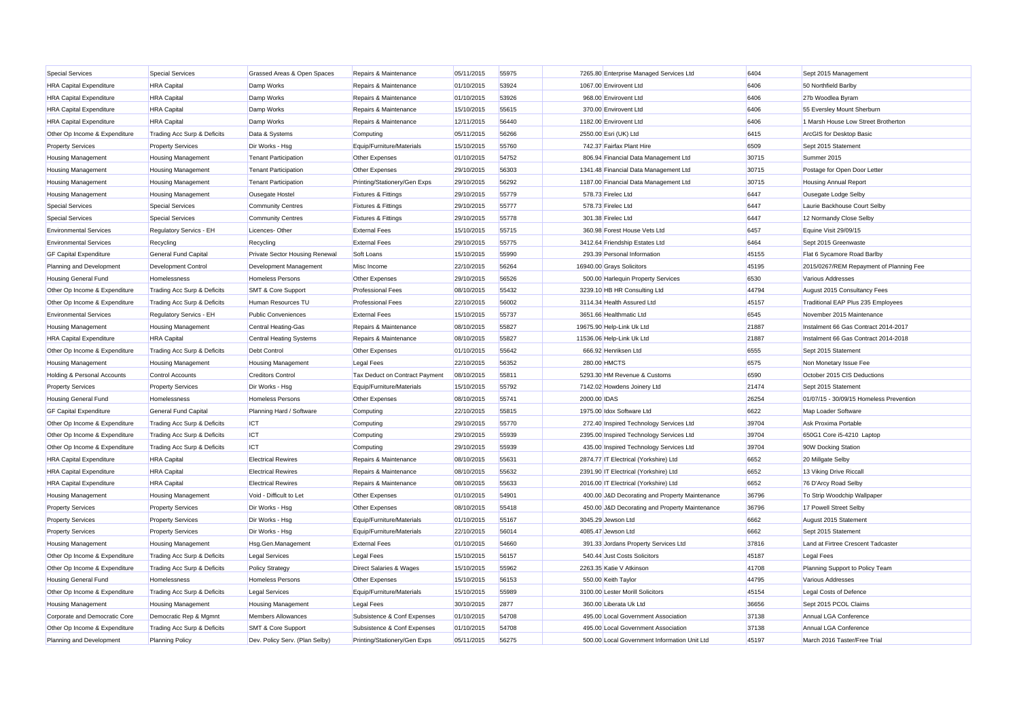| <b>Special Services</b>                                             | <b>Special Services</b>                       | Grassed Areas & Open Spaces                           | Repairs & Maintenance                               | 05/11/2015               | 55975          | 7265.80 Enterprise Managed Services Ltd        | 6404          | Sept 2015 Management                                  |
|---------------------------------------------------------------------|-----------------------------------------------|-------------------------------------------------------|-----------------------------------------------------|--------------------------|----------------|------------------------------------------------|---------------|-------------------------------------------------------|
| <b>HRA Capital Expenditure</b>                                      | <b>HRA</b> Capital                            | Damp Works                                            | Repairs & Maintenance                               | 01/10/2015               | 53924          | 1067.00 Envirovent Ltd                         | 6406          | 50 Northfield Barlby                                  |
| <b>HRA Capital Expenditure</b>                                      | <b>HRA</b> Capital                            | Damp Works                                            | Repairs & Maintenance                               | 01/10/2015               | 53926          | 968.00 Envirovent Ltd                          | 6406          | 27b Woodlea Byram                                     |
| <b>HRA Capital Expenditure</b>                                      | <b>HRA</b> Capital                            | Damp Works                                            | Repairs & Maintenance                               | 15/10/2015               | 55615          | 370.00 Envirovent Ltd                          | 6406          | 55 Eversley Mount Sherburn                            |
| <b>HRA Capital Expenditure</b>                                      | <b>HRA</b> Capital                            | Damp Works                                            | Repairs & Maintenance                               | 12/11/2015               | 56440          | 1182.00 Envirovent Ltd                         | 6406          | 1 Marsh House Low Street Brotherton                   |
| Other Op Income & Expenditure                                       | Trading Acc Surp & Deficits                   | Data & Systems                                        | Computing                                           | 05/11/2015               | 56266          | 2550.00 Esri (UK) Ltd                          | 6415          | ArcGIS for Desktop Basic                              |
| <b>Property Services</b>                                            | <b>Property Services</b>                      | Dir Works - Hsg                                       | Equip/Furniture/Materials                           | 15/10/2015               | 55760          | 742.37 Fairfax Plant Hire                      | 6509          | Sept 2015 Statement                                   |
| <b>Housing Management</b>                                           | <b>Housing Management</b>                     | <b>Tenant Participation</b>                           | Other Expenses                                      | 01/10/2015               | 54752          | 806.94 Financial Data Management Ltd           | 30715         | Summer 2015                                           |
| <b>Housing Management</b>                                           | <b>Housing Management</b>                     | <b>Tenant Participation</b>                           | Other Expenses                                      | 29/10/2015               | 56303          | 1341.48 Financial Data Management Ltd          | 30715         | Postage for Open Door Letter                          |
| <b>Housing Management</b>                                           | <b>Housing Management</b>                     | <b>Tenant Participation</b>                           | Printing/Stationery/Gen Exps                        | 29/10/2015               | 56292          | 1187.00 Financial Data Management Ltd          | 30715         | <b>Housing Annual Report</b>                          |
| <b>Housing Management</b>                                           | <b>Housing Management</b>                     | Ousegate Hostel                                       | <b>Fixtures &amp; Fittings</b>                      | 29/10/2015               | 55779          | 578.73 Firelec Ltd                             | 6447          | Ousegate Lodge Selby                                  |
| <b>Special Services</b>                                             | <b>Special Services</b>                       | <b>Community Centres</b>                              | <b>Fixtures &amp; Fittings</b>                      | 29/10/2015               | 55777          | 578.73 Firelec Ltd                             | 6447          | Laurie Backhouse Court Selby                          |
| <b>Special Services</b>                                             | <b>Special Services</b>                       | <b>Community Centres</b>                              | Fixtures & Fittings                                 | 29/10/2015               | 55778          | 301.38 Firelec Ltd                             | 6447          | 12 Normandy Close Selby                               |
| <b>Environmental Services</b>                                       | Regulatory Servics - EH                       | Licences-Other                                        | <b>External Fees</b>                                | 15/10/2015               | 55715          | 360.98 Forest House Vets Ltd                   | 6457          | Equine Visit 29/09/15                                 |
| <b>Environmental Services</b>                                       | Recycling                                     | Recycling                                             | <b>External Fees</b>                                | 29/10/2015               | 55775          | 3412.64 Friendship Estates Ltd                 | 6464          | Sept 2015 Greenwaste                                  |
| <b>GF Capital Expenditure</b>                                       | General Fund Capital                          | <b>Private Sector Housing Renewal</b>                 | Soft Loans                                          | 15/10/2015               | 55990          | 293.39 Personal Information                    | 45155         | Flat 6 Sycamore Road Barlby                           |
| Planning and Development                                            | Development Control                           | Development Management                                | Misc Income                                         | 22/10/2015               | 56264          | 16940.00 Grays Solicitors                      | 45195         | 2015/0267/REM Repayment of Planning Fee               |
| <b>Housing General Fund</b>                                         | Homelessness                                  | <b>Homeless Persons</b>                               | Other Expenses                                      | 29/10/2015               | 56526          | 500.00 Harlequin Property Services             | 6530          | Various Addresses                                     |
| Other Op Income & Expenditure                                       | Trading Acc Surp & Deficits                   | <b>SMT &amp; Core Support</b>                         | <b>Professional Fees</b>                            | 08/10/2015               | 55432          | 3239.10 HB HR Consulting Ltd                   | 44794         | August 2015 Consultancy Fees                          |
| Other Op Income & Expenditure                                       | Trading Acc Surp & Deficits                   | Human Resources TU                                    | <b>Professional Fees</b>                            | 22/10/2015               | 56002          | 3114.34 Health Assured Ltd                     | 45157         | Traditional EAP Plus 235 Employees                    |
| <b>Environmental Services</b>                                       | Regulatory Servics - EH                       | <b>Public Conveniences</b>                            | <b>External Fees</b>                                | 15/10/2015               | 55737          | 3651.66 Healthmatic Ltd                        | 6545          | November 2015 Maintenance                             |
| <b>Housing Management</b>                                           | <b>Housing Management</b>                     | <b>Central Heating-Gas</b>                            | Repairs & Maintenance                               | 08/10/2015               | 55827          | 19675.90 Help-Link Uk Ltd                      | 21887         | Instalment 66 Gas Contract 2014-2017                  |
| <b>HRA Capital Expenditure</b>                                      | <b>HRA</b> Capital                            | <b>Central Heating Systems</b>                        | Repairs & Maintenance                               | 08/10/2015               | 55827          | 11536.06 Help-Link Uk Ltd                      | 21887         | Instalment 66 Gas Contract 2014-2018                  |
| Other Op Income & Expenditure                                       |                                               | <b>Debt Control</b>                                   | Other Expenses                                      | 01/10/2015               | 55642          | 666.92 Henriksen Ltd                           | 6555          | Sept 2015 Statement                                   |
|                                                                     | Trading Acc Surp & Deficits                   |                                                       |                                                     |                          | 56352          | 280.00 HMCTS                                   | 6575          |                                                       |
| <b>Housing Management</b><br><b>Holding &amp; Personal Accounts</b> | <b>Housing Management</b><br>Control Accounts | <b>Housing Management</b><br><b>Creditors Control</b> | <b>Legal Fees</b><br>Tax Deduct on Contract Payment | 22/10/2015<br>08/10/2015 | 55811          | 5293.30 HM Revenue & Customs                   | 6590          | Non Monetary Issue Fee<br>October 2015 CIS Deductions |
|                                                                     |                                               |                                                       |                                                     |                          |                |                                                | 21474         |                                                       |
| <b>Property Services</b>                                            | <b>Property Services</b>                      | Dir Works - Hsg                                       | Equip/Furniture/Materials                           | 15/10/2015               | 55792          | 7142.02 Howdens Joinery Ltd                    |               | Sept 2015 Statement                                   |
| <b>Housing General Fund</b>                                         | Homelessness                                  | <b>Homeless Persons</b>                               | Other Expenses                                      | 08/10/2015               | 55741<br>55815 | 2000.00 IDAS<br>1975.00 Idox Software Ltd      | 26254<br>6622 | 01/07/15 - 30/09/15 Homeless Prevention               |
| <b>GF Capital Expenditure</b>                                       | General Fund Capital                          | Planning Hard / Software                              | Computing                                           | 22/10/2015               |                |                                                |               | Map Loader Software                                   |
| Other Op Income & Expenditure                                       | Trading Acc Surp & Deficits                   | ICT                                                   | Computing                                           | 29/10/2015               | 55770          | 272.40 Inspired Technology Services Ltd        | 39704         | Ask Proxima Portable                                  |
| Other Op Income & Expenditure                                       | Trading Acc Surp & Deficits                   | <b>ICT</b>                                            | Computing                                           | 29/10/2015               | 55939          | 2395.00 Inspired Technology Services Ltd       | 39704         | 650G1 Core i5-4210 Laptop                             |
| Other Op Income & Expenditure                                       | Trading Acc Surp & Deficits                   | <b>ICT</b>                                            | Computing                                           | 29/10/2015               | 55939          | 435.00 Inspired Technology Services Ltd        | 39704         | 90W Docking Station                                   |
| <b>HRA Capital Expenditure</b>                                      | <b>HRA</b> Capital                            | <b>Electrical Rewires</b>                             | Repairs & Maintenance                               | 08/10/2015               | 55631          | 2874.77 IT Electrical (Yorkshire) Ltd          | 6652          | 20 Millgate Selby                                     |
| <b>HRA Capital Expenditure</b>                                      | <b>HRA</b> Capital                            | <b>Electrical Rewires</b>                             | Repairs & Maintenance                               | 08/10/2015               | 55632          | 2391.90 IT Electrical (Yorkshire) Ltd          | 6652          | 13 Viking Drive Riccall                               |
| <b>HRA Capital Expenditure</b>                                      | <b>HRA</b> Capital                            | <b>Electrical Rewires</b>                             | Repairs & Maintenance                               | 08/10/2015               | 55633          | 2016.00 IT Electrical (Yorkshire) Ltd          | 6652          | 76 D'Arcy Road Selby                                  |
| <b>Housing Management</b>                                           | <b>Housing Management</b>                     | Void - Difficult to Let                               | Other Expenses                                      | 01/10/2015               | 54901          | 400.00 J&D Decorating and Property Maintenance | 36796         | To Strip Woodchip Wallpaper                           |
| <b>Property Services</b>                                            | <b>Property Services</b>                      | Dir Works - Hsg                                       | Other Expenses                                      | 08/10/2015               | 55418          | 450.00 J&D Decorating and Property Maintenance | 36796         | 17 Powell Street Selby                                |
| <b>Property Services</b>                                            | <b>Property Services</b>                      | Dir Works - Hsg                                       | Equip/Furniture/Materials                           | 01/10/2015               | 55167          | 3045.29 Jewson Ltd                             | 6662          | August 2015 Statement                                 |
| <b>Property Services</b>                                            | <b>Property Services</b>                      | Dir Works - Hsg                                       | Equip/Furniture/Materials                           | 22/10/2015               | 56014          | 4085.47 Jewson Ltd                             | 6662          | Sept 2015 Statement                                   |
| <b>Housing Management</b>                                           | <b>Housing Management</b>                     | Hsg.Gen.Management                                    | <b>External Fees</b>                                | 01/10/2015               | 54660          | 391.33 Jordans Property Services Ltd           | 37816         | Land at Firtree Crescent Tadcaster                    |
| Other Op Income & Expenditure                                       | Trading Acc Surp & Deficits                   | <b>Legal Services</b>                                 | Legal Fees                                          | 15/10/2015               | 56157          | 540.44 Just Costs Solicitors                   | 45187         | <b>Legal Fees</b>                                     |
| Other Op Income & Expenditure                                       | Trading Acc Surp & Deficits                   | <b>Policy Strategy</b>                                | <b>Direct Salaries &amp; Wages</b>                  | 15/10/2015               | 55962          | 2263.35 Katie V Atkinson                       | 41708         | Planning Support to Policy Team                       |
| <b>Housing General Fund</b>                                         | Homelessness                                  | <b>Homeless Persons</b>                               | Other Expenses                                      | 15/10/2015               | 56153          | 550.00 Keith Taylor                            | 44795         | Various Addresses                                     |
| Other Op Income & Expenditure                                       | Trading Acc Surp & Deficits                   | <b>Legal Services</b>                                 | Equip/Furniture/Materials                           | 15/10/2015               | 55989          | 3100.00 Lester Morill Solicitors               | 45154         | Legal Costs of Defence                                |
| <b>Housing Management</b>                                           | <b>Housing Management</b>                     | <b>Housing Management</b>                             | <b>Legal Fees</b>                                   | 30/10/2015               | 2877           | 360.00 Liberata Uk Ltd                         | 36656         | Sept 2015 PCOL Claims                                 |
| Corporate and Democratic Core                                       | Democratic Rep & Mgmnt                        | <b>Members Allowances</b>                             | Subsistence & Conf Expenses                         | 01/10/2015               | 54708          | 495.00 Local Government Association            | 37138         | Annual LGA Conference                                 |
| Other Op Income & Expenditure                                       | Trading Acc Surp & Deficits                   | <b>SMT &amp; Core Support</b>                         | Subsistence & Conf Expenses                         | 01/10/2015               | 54708          | 495.00 Local Government Association            | 37138         | Annual LGA Conference                                 |
| Planning and Development                                            | <b>Planning Policy</b>                        | Dev. Policy Serv. (Plan Selby)                        | Printing/Stationery/Gen Exps                        | 05/11/2015               | 56275          | 500.00 Local Government Information Unit Ltd   | 45197         | March 2016 Taster/Free Trial                          |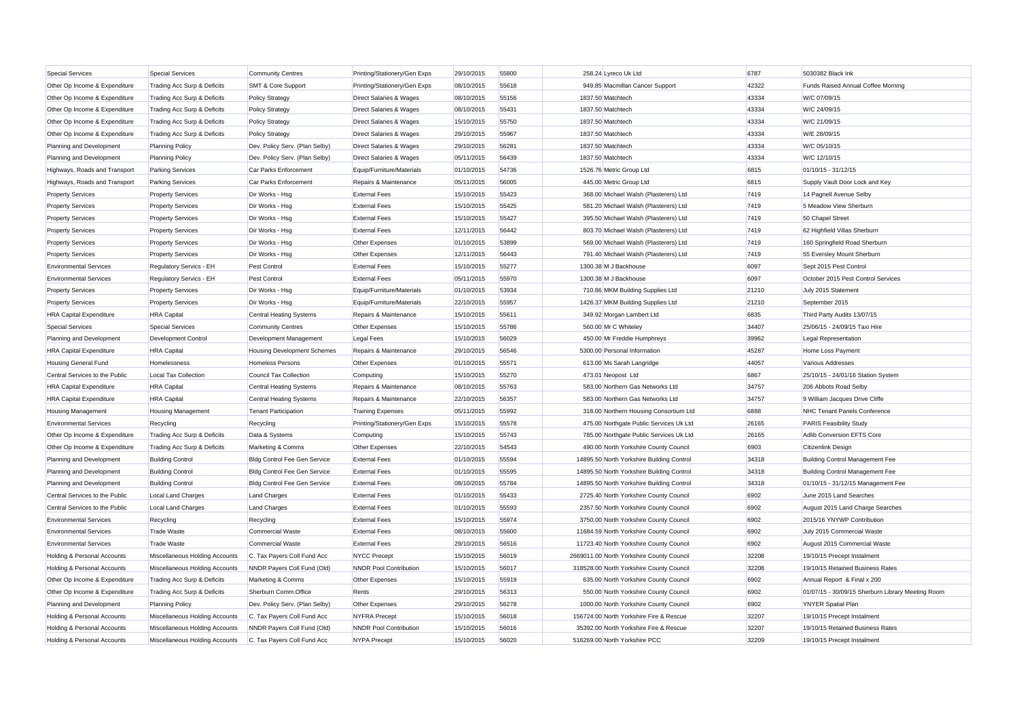| <b>Special Services</b>                | <b>Special Services</b>        | <b>Community Centres</b>            | Printing/Stationery/Gen Exps       | 29/10/2015 | 55800 | 258.24 Lyreco Uk Ltd                      | 6787  | 5030382 Black Ink                                 |
|----------------------------------------|--------------------------------|-------------------------------------|------------------------------------|------------|-------|-------------------------------------------|-------|---------------------------------------------------|
| Other Op Income & Expenditure          | Trading Acc Surp & Deficits    | <b>SMT &amp; Core Support</b>       | Printing/Stationery/Gen Exps       | 08/10/2015 | 55618 | 949.85 Macmillan Cancer Support           | 42322 | Funds Raised Annual Coffee Morning                |
| Other Op Income & Expenditure          | Trading Acc Surp & Deficits    | <b>Policy Strategy</b>              | Direct Salaries & Wages            | 08/10/2015 | 55156 | 1837.50 Matchtech                         | 43334 | W/C 07/09/15                                      |
| Other Op Income & Expenditure          | Trading Acc Surp & Deficits    | <b>Policy Strategy</b>              | <b>Direct Salaries &amp; Wages</b> | 08/10/2015 | 55431 | 1837.50 Matchtech                         | 43334 | W/C 24/09/15                                      |
| Other Op Income & Expenditure          | Trading Acc Surp & Deficits    | <b>Policy Strategy</b>              | Direct Salaries & Wages            | 15/10/2015 | 55750 | 1837.50 Matchtech                         | 43334 | W/C 21/09/15                                      |
| Other Op Income & Expenditure          | Trading Acc Surp & Deficits    | <b>Policy Strategy</b>              | <b>Direct Salaries &amp; Wages</b> | 29/10/2015 | 55967 | 1837.50 Matchtech                         | 43334 | W/E 28/09/15                                      |
| Planning and Development               | <b>Planning Policy</b>         | Dev. Policy Serv. (Plan Selby)      | <b>Direct Salaries &amp; Wages</b> | 29/10/2015 | 56281 | 1837.50 Matchtech                         | 43334 | W/C 05/10/15                                      |
| Planning and Development               | <b>Planning Policy</b>         | Dev. Policy Serv. (Plan Selby)      | <b>Direct Salaries &amp; Wages</b> | 05/11/2015 | 56439 | 1837.50 Matchtech                         | 43334 | W/C 12/10/15                                      |
| Highways, Roads and Transport          | <b>Parking Services</b>        | Car Parks Enforcement               | Equip/Furniture/Materials          | 01/10/2015 | 54736 | 1526.76 Metric Group Ltd                  | 6815  | 01/10/15 - 31/12/15                               |
| Highways, Roads and Transport          | <b>Parking Services</b>        | Car Parks Enforcement               | Repairs & Maintenance              | 05/11/2015 | 56005 | 445.00 Metric Group Ltd                   | 6815  | Supply Vault Door Lock and Key                    |
| <b>Property Services</b>               | <b>Property Services</b>       | Dir Works - Hsg                     | <b>External Fees</b>               | 15/10/2015 | 55423 | 368.00 Michael Walsh (Plasterers) Ltd     | 7419  | 14 Pagnell Avenue Selby                           |
| <b>Property Services</b>               | <b>Property Services</b>       | Dir Works - Hsg                     | <b>External Fees</b>               | 15/10/2015 | 55425 | 581.20 Michael Walsh (Plasterers) Ltd     | 7419  | 5 Meadow View Sherburn                            |
| <b>Property Services</b>               | <b>Property Services</b>       | Dir Works - Hsg                     | <b>External Fees</b>               | 15/10/2015 | 55427 | 395.50 Michael Walsh (Plasterers) Ltd     | 7419  | 50 Chapel Street                                  |
| <b>Property Services</b>               | <b>Property Services</b>       | Dir Works - Hsg                     | <b>External Fees</b>               | 12/11/2015 | 56442 | 803.70 Michael Walsh (Plasterers) Ltd     | 7419  | 62 Highfield Villas Sherburn                      |
| <b>Property Services</b>               | <b>Property Services</b>       | Dir Works - Hsg                     | Other Expenses                     | 01/10/2015 | 53899 | 569.00 Michael Walsh (Plasterers) Ltd     | 7419  | 160 Springfield Road Sherburn                     |
| <b>Property Services</b>               | <b>Property Services</b>       | Dir Works - Hsg                     | Other Expenses                     | 12/11/2015 | 56443 | 791.40 Michael Walsh (Plasterers) Ltd     | 7419  | 55 Eversley Mount Sherburn                        |
| <b>Environmental Services</b>          | Regulatory Servics - EH        | <b>Pest Control</b>                 | <b>External Fees</b>               | 15/10/2015 | 55277 | 1300.38 M J Backhouse                     | 6097  | Sept 2015 Pest Control                            |
| <b>Environmental Services</b>          | Regulatory Servics - EH        | <b>Pest Control</b>                 | <b>External Fees</b>               | 05/11/2015 | 55970 | 1300.38 M J Backhouse                     | 6097  | October 2015 Pest Control Services                |
| <b>Property Services</b>               | <b>Property Services</b>       | Dir Works - Hsg                     | Equip/Furniture/Materials          | 01/10/2015 | 53934 | 710.86 MKM Building Supplies Ltd          | 21210 | July 2015 Statement                               |
| <b>Property Services</b>               | <b>Property Services</b>       | Dir Works - Hsg                     | Equip/Furniture/Materials          | 22/10/2015 | 55957 | 1426.37 MKM Building Supplies Ltd         | 21210 | September 2015                                    |
| <b>HRA Capital Expenditure</b>         | <b>HRA</b> Capital             | <b>Central Heating Systems</b>      | Repairs & Maintenance              | 15/10/2015 | 55611 | 349.92 Morgan Lambert Ltd                 | 6835  | Third Party Audits 13/07/15                       |
| Special Services                       | <b>Special Services</b>        | <b>Community Centres</b>            | Other Expenses                     | 15/10/2015 | 55786 | 560.00 Mr C Whiteley                      | 34407 | 25/06/15 - 24/09/15 Taxi Hire                     |
| Planning and Development               | Development Control            | Development Management              | <b>Legal Fees</b>                  | 15/10/2015 | 56029 | 450.00 Mr Freddie Humphreys               | 39962 | Legal Representation                              |
| <b>HRA Capital Expenditure</b>         | <b>HRA</b> Capital             | <b>Housing Development Schemes</b>  | Repairs & Maintenance              | 29/10/2015 | 56546 | 5300.00 Personal Information              | 45287 | Home Loss Payment                                 |
| <b>Housing General Fund</b>            | Homelessness                   | <b>Homeless Persons</b>             | Other Expenses                     | 01/10/2015 | 55571 | 613.00 Ms Sarah Langridge                 | 44057 | Various Addresses                                 |
| Central Services to the Public         | <b>Local Tax Collection</b>    | Council Tax Collection              | Computing                          | 15/10/2015 | 55270 | 473.01 Neopost Ltd                        | 6867  | 25/10/15 - 24/01/16 Station System                |
| <b>HRA Capital Expenditure</b>         | <b>HRA</b> Capital             | <b>Central Heating Systems</b>      | Repairs & Maintenance              | 08/10/2015 | 55763 | 583.00 Northern Gas Networks Ltd          | 34757 | 206 Abbots Road Selby                             |
| <b>HRA Capital Expenditure</b>         | <b>HRA</b> Capital             | <b>Central Heating Systems</b>      | Repairs & Maintenance              | 22/10/2015 | 56357 | 583.00 Northern Gas Networks Ltd          | 34757 | 9 William Jacques Drive Cliffe                    |
| <b>Housing Management</b>              | <b>Housing Management</b>      | <b>Tenant Participation</b>         | <b>Training Expenses</b>           | 05/11/2015 | 55992 | 318.00 Northern Housing Consortium Ltd    | 6888  | <b>NHC Tenant Panels Conference</b>               |
| <b>Environmental Services</b>          | Recycling                      | Recycling                           | Printing/Stationery/Gen Exps       | 15/10/2015 | 55578 | 475.00 Northgate Public Services Uk Ltd   | 26165 | <b>PARIS Feasibility Study</b>                    |
| Other Op Income & Expenditure          | Trading Acc Surp & Deficits    | Data & Systems                      | Computing                          | 15/10/2015 | 55743 | 785.00 Northgate Public Services Uk Ltd   | 26165 | Adlib Conversion EFTS Core                        |
| Other Op Income & Expenditure          | Trading Acc Surp & Deficits    | Marketing & Comms                   | Other Expenses                     | 22/10/2015 | 54543 | 490.00 North Yorkshire County Council     | 6903  | Citizenlink Design                                |
| Planning and Development               | <b>Building Control</b>        | <b>Bldg Control Fee Gen Service</b> | <b>External Fees</b>               | 01/10/2015 | 55594 | 14895.50 North Yorkshire Building Control | 34318 | <b>Building Control Management Fee</b>            |
| Planning and Development               | <b>Building Control</b>        | Bldg Control Fee Gen Service        | <b>External Fees</b>               | 01/10/2015 | 55595 | 14895.50 North Yorkshire Building Control | 34318 | Building Control Management Fee                   |
| Planning and Development               | <b>Building Control</b>        | <b>Bldg Control Fee Gen Service</b> | <b>External Fees</b>               | 08/10/2015 | 55784 | 14895.50 North Yorkshire Building Control | 34318 | 01/10/15 - 31/12/15 Management Fee                |
| Central Services to the Public         | Local Land Charges             | <b>Land Charges</b>                 | <b>External Fees</b>               | 01/10/2015 | 55433 | 2725.40 North Yorkshire County Council    | 6902  | June 2015 Land Searches                           |
| Central Services to the Public         | <b>Local Land Charges</b>      | <b>Land Charges</b>                 | <b>External Fees</b>               | 01/10/2015 | 55593 | 2357.50 North Yorkshire County Council    | 6902  | August 2015 Land Charge Searches                  |
| <b>Environmental Services</b>          | Recycling                      | Recycling                           | <b>External Fees</b>               | 15/10/2015 | 55974 | 3750.00 North Yorkshire County Council    | 6902  | 2015/16 YNYWP Contribution                        |
| <b>Environmental Services</b>          | <b>Trade Waste</b>             | Commercial Waste                    | <b>External Fees</b>               | 08/10/2015 | 55600 | 11684.59 North Yorkshire County Council   | 6902  | July 2015 Commercial Waste                        |
| <b>Environmental Services</b>          | <b>Trade Waste</b>             | Commercial Waste                    | <b>External Fees</b>               | 29/10/2015 | 56516 | 11723.40 North Yorkshire County Council   | 6902  | August 2015 Commercial Waste                      |
| Holding & Personal Accounts            | Miscellaneous Holding Accounts | C. Tax Payers Coll Fund Acc         | <b>NYCC Precept</b>                | 15/10/2015 | 56019 | 2669011.00 North Yorkshire County Council | 32208 | 19/10/15 Precept Instalment                       |
| <b>Holding &amp; Personal Accounts</b> | Miscellaneous Holding Accounts | NNDR Payers Coll Fund (Old)         | <b>NNDR Pool Contribution</b>      | 15/10/2015 | 56017 | 318528.00 North Yorkshire County Council  | 32208 | 19/10/15 Retained Business Rates                  |
| Other Op Income & Expenditure          | Trading Acc Surp & Deficits    | Marketing & Comms                   | Other Expenses                     | 15/10/2015 | 55919 | 635.00 North Yorkshire County Council     | 6902  | Annual Report & Final x 200                       |
| Other Op Income & Expenditure          | Trading Acc Surp & Deficits    | Sherburn Comm.Office                | Rents                              | 29/10/2015 | 56313 | 550.00 North Yorkshire County Council     | 6902  | 01/07/15 - 30/09/15 Sherburn Library Meeting Room |
| Planning and Development               | <b>Planning Policy</b>         | Dev. Policy Serv. (Plan Selby)      | Other Expenses                     | 29/10/2015 | 56278 | 1000.00 North Yorkshire County Council    | 6902  | <b>YNYER Spatial Plan</b>                         |
| Holding & Personal Accounts            | Miscellaneous Holding Accounts | C. Tax Payers Coll Fund Acc         | <b>NYFRA Precept</b>               | 15/10/2015 | 56018 | 156724.00 North Yorkshire Fire & Rescue   | 32207 | 19/10/15 Precept Instalment                       |
| Holding & Personal Accounts            | Miscellaneous Holding Accounts | NNDR Payers Coll Fund (Old)         | <b>NNDR Pool Contribution</b>      | 15/10/2015 | 56016 | 35392.00 North Yorkshire Fire & Rescue    | 32207 | 19/10/15 Retained Business Rates                  |
| Holding & Personal Accounts            | Miscellaneous Holding Accounts | C. Tax Payers Coll Fund Acc         | <b>NYPA Precept</b>                | 15/10/2015 | 56020 | 516269.00 North Yorkshire PCC             | 32209 | 19/10/15 Precept Instalment                       |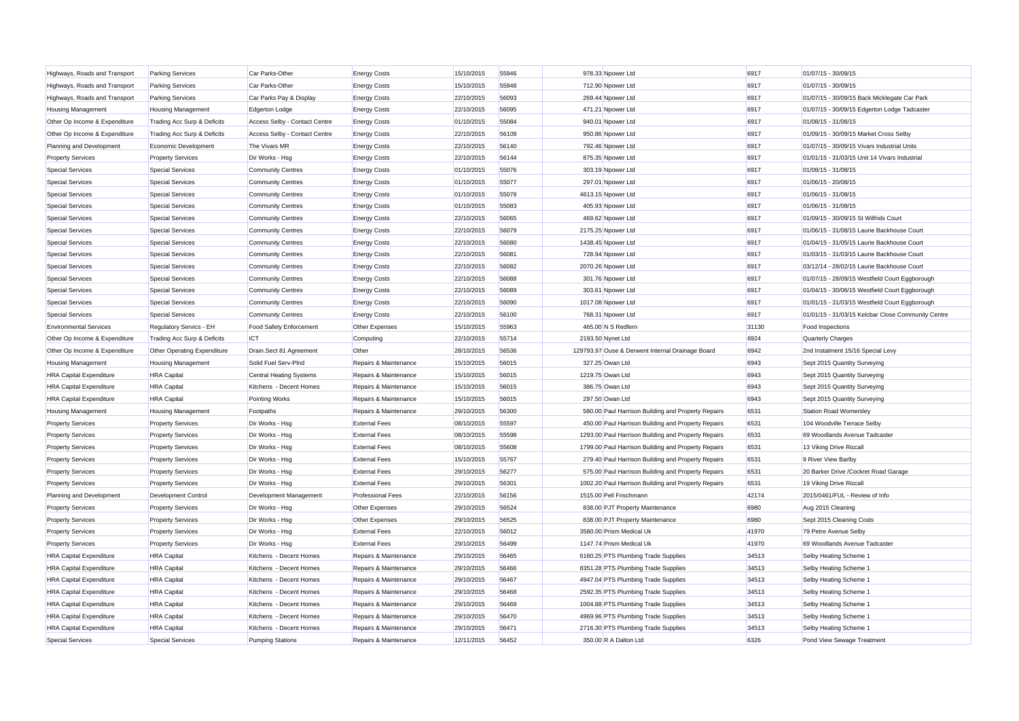| Highways, Roads and Transport  | <b>Parking Services</b>     | Car Parks-Other                | <b>Energy Costs</b>      | 15/10/2015 | 55946 | 978.33 Npower Ltd                                   | 6917  | 01/07/15 - 30/09/15                                |
|--------------------------------|-----------------------------|--------------------------------|--------------------------|------------|-------|-----------------------------------------------------|-------|----------------------------------------------------|
| Highways, Roads and Transport  | <b>Parking Services</b>     | Car Parks-Other                | <b>Energy Costs</b>      | 15/10/2015 | 55948 | 712.90 Npower Ltd                                   | 6917  | 01/07/15 - 30/09/15                                |
| Highways, Roads and Transport  | <b>Parking Services</b>     | Car Parks Pay & Display        | <b>Energy Costs</b>      | 22/10/2015 | 56093 | 269.44 Npower Ltd                                   | 6917  | 01/07/15 - 30/09/15 Back Micklegate Car Park       |
| <b>Housing Management</b>      | <b>Housing Management</b>   | <b>Edgerton Lodge</b>          | <b>Energy Costs</b>      | 22/10/2015 | 56095 | 471.21 Noower Ltd                                   | 6917  | 01/07/15 - 30/09/15 Edgerton Lodge Tadcaster       |
| Other Op Income & Expenditure  | Trading Acc Surp & Deficits | Access Selby - Contact Centre  | <b>Energy Costs</b>      | 01/10/2015 | 55084 | 940.01 Npower Ltd                                   | 6917  | 01/08/15 - 31/08/15                                |
| Other Op Income & Expenditure  | Trading Acc Surp & Deficits | Access Selby - Contact Centre  | <b>Energy Costs</b>      | 22/10/2015 | 56109 | 950.86 Npower Ltd                                   | 6917  | 01/09/15 - 30/09/15 Market Cross Selby             |
| Planning and Development       | Economic Development        | The Vivars MR                  | <b>Energy Costs</b>      | 22/10/2015 | 56140 | 792.46 Npower Ltd                                   | 6917  | 01/07/15 - 30/09/15 Vivars Industrial Units        |
| <b>Property Services</b>       | <b>Property Services</b>    | Dir Works - Hsg                | <b>Energy Costs</b>      | 22/10/2015 | 56144 | 875.35 Npower Ltd                                   | 6917  | 01/01/15 - 31/03/15 Unit 14 Vivars Industrial      |
| <b>Special Services</b>        | <b>Special Services</b>     | <b>Community Centres</b>       | <b>Energy Costs</b>      | 01/10/2015 | 55076 | 303.19 Npower Ltd                                   | 6917  | 01/08/15 - 31/08/15                                |
| Special Services               | <b>Special Services</b>     | <b>Community Centres</b>       | <b>Energy Costs</b>      | 01/10/2015 | 55077 | 297.01 Npower Ltd                                   | 6917  | 01/06/15 - 20/08/15                                |
| <b>Special Services</b>        | <b>Special Services</b>     | <b>Community Centres</b>       | <b>Energy Costs</b>      | 01/10/2015 | 55078 | 4613.15 Npower Ltd                                  | 6917  | 01/06/15 - 31/08/15                                |
| <b>Special Services</b>        | <b>Special Services</b>     | <b>Community Centres</b>       | <b>Energy Costs</b>      | 01/10/2015 | 55083 | 405.93 Npower Ltd                                   | 6917  | 01/06/15 - 31/08/15                                |
| <b>Special Services</b>        | <b>Special Services</b>     | <b>Community Centres</b>       | <b>Energy Costs</b>      | 22/10/2015 | 56065 | 469.62 Npower Ltd                                   | 6917  | 01/09/15 - 30/09/15 St Wilfrids Court              |
| <b>Special Services</b>        | <b>Special Services</b>     | <b>Community Centres</b>       | <b>Energy Costs</b>      | 22/10/2015 | 56079 | 2175.25 Npower Ltd                                  | 6917  | 01/06/15 - 31/08/15 Laurie Backhouse Court         |
| <b>Special Services</b>        | <b>Special Services</b>     | <b>Community Centres</b>       | <b>Energy Costs</b>      | 22/10/2015 | 56080 | 1438.45 Npower Ltd                                  | 6917  | 01/04/15 - 31/05/15 Laurie Backhouse Court         |
| <b>Special Services</b>        | <b>Special Services</b>     | <b>Community Centres</b>       | <b>Energy Costs</b>      | 22/10/2015 | 56081 | 728.94 Npower Ltd                                   | 6917  | 01/03/15 - 31/03/15 Laurie Backhouse Court         |
| <b>Special Services</b>        | <b>Special Services</b>     | <b>Community Centres</b>       | <b>Energy Costs</b>      | 22/10/2015 | 56082 | 2070.26 Npower Ltd                                  | 6917  | 03/12/14 - 28/02/15 Laurie Backhouse Court         |
| <b>Special Services</b>        | <b>Special Services</b>     | <b>Community Centres</b>       | <b>Energy Costs</b>      | 22/10/2015 | 56088 | 301.76 Npower Ltd                                   | 6917  | 01/07/15 - 28/09/15 Westfield Court Eggborough     |
| Special Services               | <b>Special Services</b>     | <b>Community Centres</b>       | <b>Energy Costs</b>      | 22/10/2015 | 56089 | 303.61 Npower Ltd                                   | 6917  | 01/04/15 - 30/06/15 Westfield Court Eggborough     |
| <b>Special Services</b>        | <b>Special Services</b>     | <b>Community Centres</b>       | <b>Energy Costs</b>      | 22/10/2015 | 56090 | 1017.08 Npower Ltd                                  | 6917  | 01/01/15 - 31/03/15 Westfield Court Eggborough     |
| <b>Special Services</b>        | <b>Special Services</b>     | <b>Community Centres</b>       | <b>Energy Costs</b>      | 22/10/2015 | 56100 | 768.31 Npower Ltd                                   | 6917  | 01/01/15 - 31/03/15 Kelcbar Close Community Centre |
| <b>Environmental Services</b>  | Regulatory Servics - EH     | <b>Food Safety Enforcement</b> | Other Expenses           | 15/10/2015 | 55963 | 465.00 N S Redfern                                  | 31130 | <b>Food Inspections</b>                            |
| Other Op Income & Expenditure  | Trading Acc Surp & Deficits | <b>ICT</b>                     | Computing                | 22/10/2015 | 55714 | 2193.50 Nynet Ltd                                   | 6924  | Quarterly Charges                                  |
| Other Op Income & Expenditure  | Other Operating Expenditure | Drain.Sect 81 Agreement        | Other                    | 28/10/2015 | 56536 | 129793.97 Ouse & Derwent Internal Drainage Board    | 6942  | 2nd Instalment 15/16 Special Levy                  |
| <b>Housing Management</b>      | <b>Housing Management</b>   | Solid Fuel Serv-PInd           | Repairs & Maintenance    | 15/10/2015 | 56015 | 327.25 Owan Ltd                                     | 6943  | Sept 2015 Quantity Surveying                       |
| <b>HRA Capital Expenditure</b> | <b>HRA</b> Capital          | <b>Central Heating Systems</b> | Repairs & Maintenance    | 15/10/2015 | 56015 | 1219.75 Owan Ltd                                    | 6943  | Sept 2015 Quantity Surveying                       |
| <b>HRA Capital Expenditure</b> | <b>HRA</b> Capital          | Kitchens - Decent Homes        | Repairs & Maintenance    | 15/10/2015 | 56015 | 386.75 Owan Ltd                                     | 6943  | Sept 2015 Quantity Surveying                       |
| <b>HRA Capital Expenditure</b> | <b>HRA</b> Capital          | <b>Pointing Works</b>          | Repairs & Maintenance    | 15/10/2015 | 56015 | 297.50 Owan Ltd                                     | 6943  | Sept 2015 Quantity Surveying                       |
| <b>Housing Management</b>      | <b>Housing Management</b>   | Footpaths                      | Repairs & Maintenance    | 29/10/2015 | 56300 | 580.00 Paul Harrison Building and Property Repairs  | 6531  | Station Road Womersley                             |
| <b>Property Services</b>       | <b>Property Services</b>    | Dir Works - Hsg                | <b>External Fees</b>     | 08/10/2015 | 55597 | 450.00 Paul Harrison Building and Property Repairs  | 6531  | 104 Woodville Terrace Selby                        |
| <b>Property Services</b>       | <b>Property Services</b>    | Dir Works - Hsg                | <b>External Fees</b>     | 08/10/2015 | 55598 | 1293.00 Paul Harrison Building and Property Repairs | 6531  | 69 Woodlands Avenue Tadcaster                      |
| <b>Property Services</b>       | <b>Property Services</b>    | Dir Works - Hsg                | <b>External Fees</b>     | 08/10/2015 | 55608 | 1799.00 Paul Harrison Building and Property Repairs | 6531  | 13 Viking Drive Riccall                            |
| <b>Property Services</b>       | <b>Property Services</b>    | Dir Works - Hsg                | <b>External Fees</b>     | 15/10/2015 | 55767 | 279.40 Paul Harrison Building and Property Repairs  | 6531  | 9 River View Barlby                                |
| <b>Property Services</b>       | <b>Property Services</b>    | Dir Works - Hsg                | <b>External Fees</b>     | 29/10/2015 | 56277 | 575.00 Paul Harrison Building and Property Repairs  | 6531  | 20 Barker Drive /Cockret Road Garage               |
| <b>Property Services</b>       | <b>Property Services</b>    | Dir Works - Hsg                | <b>External Fees</b>     | 29/10/2015 | 56301 | 1002.20 Paul Harrison Building and Property Repairs | 6531  | 19 Viking Drive Riccall                            |
| Planning and Development       | Development Control         | Development Management         | <b>Professional Fees</b> | 22/10/2015 | 56156 | 1515.00 Pell Frischmann                             | 42174 | 2015/0461/FUL - Review of Info                     |
| <b>Property Services</b>       | <b>Property Services</b>    | Dir Works - Hsg                | Other Expenses           | 29/10/2015 | 56524 | 838.00 PJT Property Maintenance                     | 6980  | Aug 2015 Cleaning                                  |
| <b>Property Services</b>       | <b>Property Services</b>    | Dir Works - Hsg                | <b>Other Expenses</b>    | 29/10/2015 | 56525 | 838.00 PJT Property Maintenance                     | 6980  | Sept 2015 Cleaning Costs                           |
| <b>Property Services</b>       | <b>Property Services</b>    | Dir Works - Hsg                | <b>External Fees</b>     | 22/10/2015 | 56012 | 3580.00 Prism Medical Uk                            | 41970 | 79 Petre Avenue Selby                              |
| <b>Property Services</b>       | <b>Property Services</b>    | Dir Works - Hsg                | <b>External Fees</b>     | 29/10/2015 | 56499 | 1147.74 Prism Medical Uk                            | 41970 | 69 Woodlands Avenue Tadcaster                      |
| <b>HRA Capital Expenditure</b> | <b>HRA</b> Capital          | Kitchens - Decent Homes        | Repairs & Maintenance    | 29/10/2015 | 56465 | 6160.25 PTS Plumbing Trade Supplies                 | 34513 | Selby Heating Scheme 1                             |
| <b>HRA Capital Expenditure</b> | <b>HRA</b> Capital          | Kitchens - Decent Homes        | Repairs & Maintenance    | 29/10/2015 | 56466 | 8351.28 PTS Plumbing Trade Supplies                 | 34513 | Selby Heating Scheme 1                             |
| <b>HRA Capital Expenditure</b> | <b>HRA</b> Capital          | Kitchens - Decent Homes        | Repairs & Maintenance    | 29/10/2015 | 56467 | 4947.04 PTS Plumbing Trade Supplies                 | 34513 | Selby Heating Scheme 1                             |
| <b>HRA Capital Expenditure</b> | <b>HRA</b> Capital          | Kitchens - Decent Homes        | Repairs & Maintenance    | 29/10/2015 | 56468 | 2592.35 PTS Plumbing Trade Supplies                 | 34513 | Selby Heating Scheme 1                             |
| <b>HRA Capital Expenditure</b> | <b>HRA</b> Capital          | Kitchens - Decent Homes        | Repairs & Maintenance    | 29/10/2015 | 56469 | 1004.88 PTS Plumbing Trade Supplies                 | 34513 | Selby Heating Scheme 1                             |
| <b>HRA Capital Expenditure</b> | <b>HRA</b> Capital          | Kitchens - Decent Homes        | Repairs & Maintenance    | 29/10/2015 | 56470 | 4969.96 PTS Plumbing Trade Supplies                 | 34513 | Selby Heating Scheme 1                             |
| <b>HRA Capital Expenditure</b> | <b>HRA</b> Capital          | Kitchens - Decent Homes        | Repairs & Maintenance    | 29/10/2015 | 56471 | 2716.30 PTS Plumbing Trade Supplies                 | 34513 | Selby Heating Scheme 1                             |
| <b>Special Services</b>        | <b>Special Services</b>     | <b>Pumping Stations</b>        | Repairs & Maintenance    | 12/11/2015 | 56452 | 350.00 R A Dalton Ltd                               | 6326  | Pond View Sewage Treatment                         |
|                                |                             |                                |                          |            |       |                                                     |       |                                                    |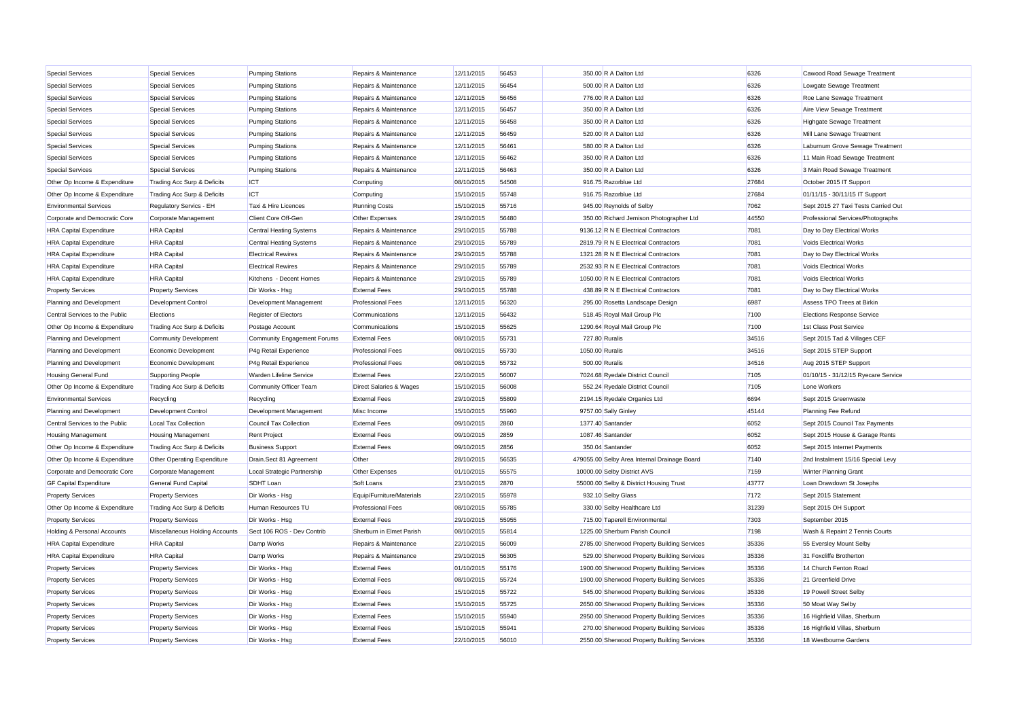| <b>Special Services</b>                | <b>Special Services</b>                                 | <b>Pumping Stations</b>               | Repairs & Maintenance              | 12/11/2015 | 56453 | 350.00 R A Dalton Ltd                        | 6326  | Cawood Road Sewage Treatment        |
|----------------------------------------|---------------------------------------------------------|---------------------------------------|------------------------------------|------------|-------|----------------------------------------------|-------|-------------------------------------|
| <b>Special Services</b>                | <b>Special Services</b>                                 | <b>Pumping Stations</b>               | Repairs & Maintenance              | 12/11/2015 | 56454 | 500.00 R A Dalton Ltd                        | 6326  | Lowgate Sewage Treatment            |
| <b>Special Services</b>                | <b>Special Services</b>                                 | <b>Pumping Stations</b>               | Repairs & Maintenance              | 12/11/2015 | 56456 | 776.00 R A Dalton Ltd                        | 6326  | Roe Lane Sewage Treatment           |
| <b>Special Services</b>                | <b>Special Services</b>                                 | <b>Pumping Stations</b>               | Repairs & Maintenance              | 12/11/2015 | 56457 | 350.00 R A Dalton Ltd                        | 6326  | Aire View Sewage Treatment          |
| Special Services                       | <b>Special Services</b>                                 | <b>Pumping Stations</b>               | Repairs & Maintenance              | 12/11/2015 | 56458 | 350.00 R A Dalton Ltd                        | 6326  | Highgate Sewage Treatment           |
| <b>Special Services</b>                | <b>Special Services</b>                                 | <b>Pumping Stations</b>               | Repairs & Maintenance              | 12/11/2015 | 56459 | 520.00 R A Dalton Ltd                        | 6326  | Mill Lane Sewage Treatment          |
| <b>Special Services</b>                | <b>Special Services</b>                                 | <b>Pumping Stations</b>               | Repairs & Maintenance              | 12/11/2015 | 56461 | 580.00 R A Dalton Ltd                        | 6326  | Laburnum Grove Sewage Treatment     |
| <b>Special Services</b>                | <b>Special Services</b>                                 | <b>Pumping Stations</b>               | Repairs & Maintenance              | 12/11/2015 | 56462 | 350.00 R A Dalton Ltd                        | 6326  | 11 Main Road Sewage Treatment       |
| <b>Special Services</b>                | <b>Special Services</b>                                 | <b>Pumping Stations</b>               | Repairs & Maintenance              | 12/11/2015 | 56463 | 350.00 R A Dalton Ltd                        | 6326  | 3 Main Road Sewage Treatment        |
| Other Op Income & Expenditure          | Trading Acc Surp & Deficits                             | ICT                                   | Computing                          | 08/10/2015 | 54508 | 916.75 Razorblue Ltd                         | 27684 | October 2015 IT Support             |
| Other Op Income & Expenditure          | Trading Acc Surp & Deficits                             | <b>ICT</b>                            | Computing                          | 15/10/2015 | 55748 | 916.75 Razorblue Ltd                         | 27684 | 01/11/15 - 30/11/15 IT Support      |
| <b>Environmental Services</b>          | Regulatory Servics - EH                                 | Taxi & Hire Licences                  | <b>Running Costs</b>               | 15/10/2015 | 55716 | 945.00 Reynolds of Selby                     | 7062  | Sept 2015 27 Taxi Tests Carried Out |
| Corporate and Democratic Core          | Corporate Management                                    | <b>Client Core Off-Gen</b>            | Other Expenses                     | 29/10/2015 | 56480 | 350.00 Richard Jemison Photographer Ltd      | 44550 | Professional Services/Photographs   |
| <b>HRA Capital Expenditure</b>         | <b>HRA</b> Capital                                      | <b>Central Heating Systems</b>        | Repairs & Maintenance              | 29/10/2015 | 55788 | 9136.12 R N E Electrical Contractors         | 7081  | Day to Day Electrical Works         |
| <b>HRA Capital Expenditure</b>         | <b>HRA</b> Capital                                      | <b>Central Heating Systems</b>        | Repairs & Maintenance              | 29/10/2015 | 55789 | 2819.79 R N E Electrical Contractors         | 7081  | Voids Electrical Works              |
| <b>HRA Capital Expenditure</b>         | <b>HRA</b> Capital                                      | <b>Electrical Rewires</b>             | Repairs & Maintenance              | 29/10/2015 | 55788 | 1321.28 R N E Electrical Contractors         | 7081  | Day to Day Electrical Works         |
| <b>HRA Capital Expenditure</b>         | <b>HRA</b> Capital                                      | <b>Electrical Rewires</b>             | Repairs & Maintenance              | 29/10/2015 | 55789 | 2532.93 R N E Electrical Contractors         | 7081  | Voids Electrical Works              |
| <b>HRA Capital Expenditure</b>         | <b>HRA</b> Capital                                      | Kitchens - Decent Homes               | Repairs & Maintenance              | 29/10/2015 | 55789 | 1050.00 R N E Electrical Contractors         | 7081  | Voids Electrical Works              |
| <b>Property Services</b>               | <b>Property Services</b>                                | Dir Works - Hsg                       | <b>External Fees</b>               | 29/10/2015 | 55788 | 438.89 R N E Electrical Contractors          | 7081  | Day to Day Electrical Works         |
| Planning and Development               | Development Control                                     | Development Management                | <b>Professional Fees</b>           | 12/11/2015 | 56320 | 295.00 Rosetta Landscape Design              | 6987  | Assess TPO Trees at Birkin          |
| Central Services to the Public         | Elections                                               | <b>Register of Electors</b>           | Communications                     | 12/11/2015 | 56432 | 518.45 Royal Mail Group Plc                  | 7100  | <b>Elections Response Service</b>   |
| Other Op Income & Expenditure          | Trading Acc Surp & Deficits                             | Postage Account                       | Communications                     | 15/10/2015 | 55625 | 1290.64 Royal Mail Group Plc                 | 7100  | 1st Class Post Service              |
| Planning and Development               | <b>Community Development</b>                            | Community Engagement Forums           | <b>External Fees</b>               | 08/10/2015 | 55731 | 727,80 Ruralis                               | 34516 | Sept 2015 Tad & Villages CEF        |
| Planning and Development               | Economic Development                                    | P4g Retail Experience                 | <b>Professional Fees</b>           | 08/10/2015 | 55730 | 1050.00 Ruralis                              | 34516 | Sept 2015 STEP Support              |
| Planning and Development               | Economic Development                                    | P4q Retail Experience                 | <b>Professional Fees</b>           | 08/10/2015 | 55732 | 500.00 Ruralis                               | 34516 | Aug 2015 STEP Support               |
| <b>Housing General Fund</b>            | Supporting People                                       | Warden Lifeline Service               | <b>External Fees</b>               | 22/10/2015 | 56007 | 7024.68 Ryedale District Council             | 7105  | 01/10/15 - 31/12/15 Ryecare Service |
| Other Op Income & Expenditure          | Trading Acc Surp & Deficits                             | Community Officer Team                | <b>Direct Salaries &amp; Wages</b> | 15/10/2015 | 56008 | 552.24 Ryedale District Council              | 7105  | Lone Workers                        |
| <b>Environmental Services</b>          | Recycling                                               | Recycling                             | <b>External Fees</b>               | 29/10/2015 | 55809 | 2194.15 Ryedale Organics Ltd                 | 6694  | Sept 2015 Greenwaste                |
| Planning and Development               | Development Control                                     | Development Management                | Misc Income                        | 15/10/2015 | 55960 | 9757.00 Sally Ginley                         | 45144 | Planning Fee Refund                 |
| Central Services to the Public         | <b>Local Tax Collection</b>                             | <b>Council Tax Collection</b>         | <b>External Fees</b>               | 09/10/2015 | 2860  | 1377.40 Santander                            | 6052  | Sept 2015 Council Tax Payments      |
| <b>Housing Management</b>              | <b>Housing Management</b>                               | <b>Rent Project</b>                   | <b>External Fees</b>               | 09/10/2015 | 2859  | 1087.46 Santander                            | 6052  | Sept 2015 House & Garage Rents      |
| Other Op Income & Expenditure          | Trading Acc Surp & Deficits                             | <b>Business Support</b>               | <b>External Fees</b>               | 09/10/2015 | 2856  | 350.04 Santander                             | 6052  | Sept 2015 Internet Payments         |
| Other Op Income & Expenditure          | Other Operating Expenditure                             | Drain.Sect 81 Agreement               | Other                              | 28/10/2015 | 56535 | 479055.00 Selby Area Internal Drainage Board | 7140  | 2nd Instalment 15/16 Special Levy   |
| Corporate and Democratic Core          | Corporate Management                                    | Local Strategic Partnership           | Other Expenses                     | 01/10/2015 | 55575 | 10000.00 Selby District AVS                  | 7159  | <b>Winter Planning Grant</b>        |
| <b>GF Capital Expenditure</b>          | <b>General Fund Capital</b>                             | <b>SDHT</b> Loan                      | Soft Loans                         | 23/10/2015 | 2870  | 55000.00 Selby & District Housing Trust      | 43777 | Loan Drawdown St Josephs            |
| <b>Property Services</b>               | <b>Property Services</b>                                | Dir Works - Hsg                       | Equip/Furniture/Materials          | 22/10/2015 | 55978 | 932.10 Selby Glass                           | 7172  | Sept 2015 Statement                 |
| Other Op Income & Expenditure          |                                                         |                                       | <b>Professional Fees</b>           | 08/10/2015 | 55785 | 330.00 Selby Healthcare Ltd                  | 31239 | Sept 2015 OH Support                |
| <b>Property Services</b>               | Trading Acc Surp & Deficits<br><b>Property Services</b> | Human Resources TU<br>Dir Works - Hsg | <b>External Fees</b>               | 29/10/2015 | 55955 | 715.00 Taperell Environmental                | 7303  | September 2015                      |
| <b>Holding &amp; Personal Accounts</b> | Miscellaneous Holding Accounts                          | Sect 106 ROS - Dev Contrib            | Sherburn in Elmet Parish           | 08/10/2015 | 55814 | 1225.00 Sherburn Parish Council              | 7198  | Wash & Repaint 2 Tennis Courts      |
| <b>HRA Capital Expenditure</b>         | <b>HRA</b> Capital                                      | Damp Works                            | Repairs & Maintenance              | 22/10/2015 | 56009 | 2785.00 Sherwood Property Building Services  | 35336 | 55 Eversley Mount Selby             |
| <b>HRA Capital Expenditure</b>         | <b>HRA</b> Capital                                      | Damp Works                            | Repairs & Maintenance              | 29/10/2015 | 56305 | 529.00 Sherwood Property Building Services   | 35336 | 31 Foxcliffe Brotherton             |
|                                        |                                                         |                                       |                                    |            | 55176 |                                              | 35336 | 14 Church Fenton Road               |
| <b>Property Services</b>               | <b>Property Services</b>                                | Dir Works - Hsg                       | <b>External Fees</b>               | 01/10/2015 |       | 1900.00 Sherwood Property Building Services  |       |                                     |
| <b>Property Services</b>               | <b>Property Services</b>                                | Dir Works - Hsg                       | <b>External Fees</b>               | 08/10/2015 | 55724 | 1900.00 Sherwood Property Building Services  | 35336 | 21 Greenfield Drive                 |
| <b>Property Services</b>               | <b>Property Services</b>                                | Dir Works - Hsg                       | <b>External Fees</b>               | 15/10/2015 | 55722 | 545.00 Sherwood Property Building Services   | 35336 | 19 Powell Street Selby              |
| <b>Property Services</b>               | <b>Property Services</b>                                | Dir Works - Hsg                       | <b>External Fees</b>               | 15/10/2015 | 55725 | 2650.00 Sherwood Property Building Services  | 35336 | 50 Moat Way Selby                   |
| <b>Property Services</b>               | <b>Property Services</b>                                | Dir Works - Hsg                       | <b>External Fees</b>               | 15/10/2015 | 55940 | 2950.00 Sherwood Property Building Services  | 35336 | 16 Highfield Villas, Sherburn       |
| <b>Property Services</b>               | <b>Property Services</b>                                | Dir Works - Hsg                       | <b>External Fees</b>               | 15/10/2015 | 55941 | 270.00 Sherwood Property Building Services   | 35336 | 16 Highfield Villas, Sherburn       |
| <b>Property Services</b>               | <b>Property Services</b>                                | Dir Works - Hsg                       | <b>External Fees</b>               | 22/10/2015 | 56010 | 2550.00 Sherwood Property Building Services  | 35336 | 18 Westbourne Gardens               |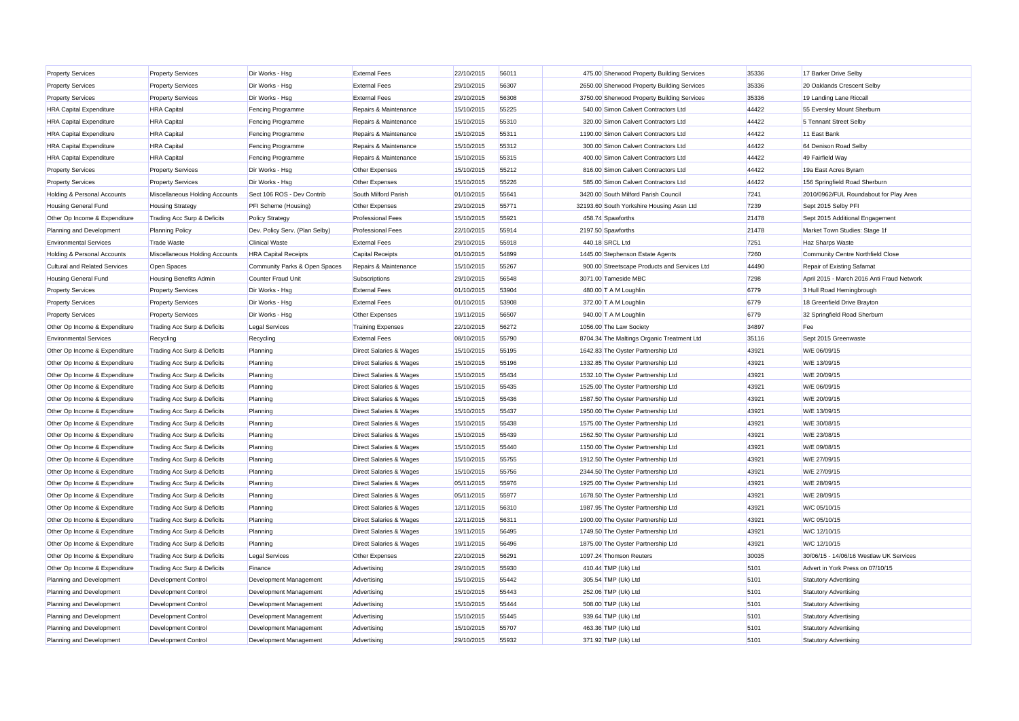| <b>Property Services</b>               | <b>Property Services</b>       | Dir Works - Hsg                | <b>External Fees</b>               | 22/10/2015 | 56011 | 475.00 Sherwood Property Building Services   | 35336 | 17 Barker Drive Selby                      |
|----------------------------------------|--------------------------------|--------------------------------|------------------------------------|------------|-------|----------------------------------------------|-------|--------------------------------------------|
| <b>Property Services</b>               | <b>Property Services</b>       | Dir Works - Hsg                | <b>External Fees</b>               | 29/10/2015 | 56307 | 2650.00 Sherwood Property Building Services  | 35336 | 20 Oaklands Crescent Selby                 |
| <b>Property Services</b>               | <b>Property Services</b>       | Dir Works - Hsg                | <b>External Fees</b>               | 29/10/2015 | 56308 | 3750.00 Sherwood Property Building Services  | 35336 | 19 Landing Lane Riccal                     |
| <b>HRA Capital Expenditure</b>         | <b>HRA</b> Capital             | <b>Fencing Programme</b>       | Repairs & Maintenance              | 15/10/2015 | 55225 | 540.00 Simon Calvert Contractors Ltd         | 44422 | 55 Eversley Mount Sherburn                 |
| <b>HRA Capital Expenditure</b>         | <b>HRA</b> Capital             | <b>Fencing Programme</b>       | Repairs & Maintenance              | 15/10/2015 | 55310 | 320.00 Simon Calvert Contractors Ltd         | 44422 | 5 Tennant Street Selby                     |
| <b>HRA Capital Expenditure</b>         | <b>HRA</b> Capital             | <b>Fencing Programme</b>       | Repairs & Maintenance              | 15/10/2015 | 55311 | 1190.00 Simon Calvert Contractors Ltd        | 44422 | 11 East Bank                               |
| <b>HRA Capital Expenditure</b>         | <b>HRA</b> Capital             | Fencing Programme              | Repairs & Maintenance              | 15/10/2015 | 55312 | 300.00 Simon Calvert Contractors Ltd         | 44422 | 64 Denison Road Selby                      |
| <b>HRA Capital Expenditure</b>         | <b>HRA</b> Capital             | <b>Fencing Programme</b>       | Repairs & Maintenance              | 15/10/2015 | 55315 | 400.00 Simon Calvert Contractors Ltd         | 44422 | 49 Fairfield Way                           |
| <b>Property Services</b>               | <b>Property Services</b>       | Dir Works - Hsg                | Other Expenses                     | 15/10/2015 | 55212 | 816.00 Simon Calvert Contractors Ltd         | 44422 | 19a East Acres Byram                       |
| <b>Property Services</b>               | <b>Property Services</b>       | Dir Works - Hsg                | Other Expenses                     | 15/10/2015 | 55226 | 585.00 Simon Calvert Contractors Ltd         | 44422 | 156 Springfield Road Sherburn              |
| <b>Holding &amp; Personal Accounts</b> | Miscellaneous Holding Accounts | Sect 106 ROS - Dev Contrib     | South Milford Parish               | 01/10/2015 | 55641 | 3420.00 South Milford Parish Council         | 7241  | 2010/0962/FUL Roundabout for Play Area     |
| <b>Housing General Fund</b>            | <b>Housing Strategy</b>        | PFI Scheme (Housing)           | Other Expenses                     | 29/10/2015 | 55771 | 32193.60 South Yorkshire Housing Assn Ltd    | 7239  | Sept 2015 Selby PFI                        |
| Other Op Income & Expenditure          | Trading Acc Surp & Deficits    | <b>Policy Strategy</b>         | <b>Professional Fees</b>           | 15/10/2015 | 55921 | 458.74 Spawforths                            | 21478 | Sept 2015 Additional Engagement            |
| Planning and Development               | <b>Planning Policy</b>         | Dev. Policy Serv. (Plan Selby) | <b>Professional Fees</b>           | 22/10/2015 | 55914 | 2197.50 Spawforths                           | 21478 | Market Town Studies: Stage 1f              |
| <b>Environmental Services</b>          | <b>Trade Waste</b>             | <b>Clinical Waste</b>          | <b>External Fees</b>               | 29/10/2015 | 55918 | 440.18 SRCL Ltd                              | 7251  | Haz Sharps Waste                           |
| <b>Holding &amp; Personal Accounts</b> | Miscellaneous Holding Accounts | <b>HRA Capital Receipts</b>    | <b>Capital Receipts</b>            | 01/10/2015 | 54899 | 1445.00 Stephenson Estate Agents             | 7260  | Community Centre Northfield Close          |
| <b>Cultural and Related Services</b>   | Open Spaces                    | Community Parks & Open Spaces  | Repairs & Maintenance              | 15/10/2015 | 55267 | 900.00 Streetscape Products and Services Ltd | 44490 | Repair of Existing Safamat                 |
| <b>Housing General Fund</b>            | <b>Housing Benefits Admin</b>  | <b>Counter Fraud Unit</b>      | Subscriptions                      | 29/10/2015 | 56548 | 3071.00 Tameside MBC                         | 7298  | April 2015 - March 2016 Anti Fraud Network |
| <b>Property Services</b>               | <b>Property Services</b>       | Dir Works - Hsg                | <b>External Fees</b>               | 01/10/2015 | 53904 | 480.00 T A M Loughlin                        | 6779  | 3 Hull Road Hemingbrough                   |
| <b>Property Services</b>               | <b>Property Services</b>       | Dir Works - Hsg                | <b>External Fees</b>               | 01/10/2015 | 53908 | 372.00 T A M Loughlin                        | 6779  | 18 Greenfield Drive Brayton                |
| <b>Property Services</b>               | <b>Property Services</b>       | Dir Works - Hsg                | Other Expenses                     | 19/11/2015 | 56507 | 940.00 T A M Loughlin                        | 6779  | 32 Springfield Road Sherburn               |
| Other Op Income & Expenditure          | Trading Acc Surp & Deficits    | <b>Legal Services</b>          | <b>Training Expenses</b>           | 22/10/2015 | 56272 | 1056.00 The Law Society                      | 34897 | Fee                                        |
| <b>Environmental Services</b>          | Recycling                      | Recycling                      | <b>External Fees</b>               | 08/10/2015 | 55790 | 8704.34 The Maltings Organic Treatment Ltd   | 35116 | Sept 2015 Greenwaste                       |
| Other Op Income & Expenditure          | Trading Acc Surp & Deficits    | Planning                       | Direct Salaries & Wages            | 15/10/2015 | 55195 | 1642.83 The Oyster Partnership Ltd           | 43921 | W/E 06/09/15                               |
| Other Op Income & Expenditure          | Trading Acc Surp & Deficits    | Planning                       | <b>Direct Salaries &amp; Wages</b> | 15/10/2015 | 55196 | 1332.85 The Oyster Partnership Ltd           | 43921 | W/E 13/09/15                               |
| Other Op Income & Expenditure          | Trading Acc Surp & Deficits    | Planning                       | <b>Direct Salaries &amp; Wages</b> | 15/10/2015 | 55434 | 1532.10 The Oyster Partnership Ltd           | 43921 | W/E 20/09/15                               |
| Other Op Income & Expenditure          | Trading Acc Surp & Deficits    | Planning                       | <b>Direct Salaries &amp; Wages</b> | 15/10/2015 | 55435 | 1525.00 The Oyster Partnership Ltd           | 43921 | W/E 06/09/15                               |
| Other Op Income & Expenditure          | Trading Acc Surp & Deficits    | Planning                       | Direct Salaries & Wages            | 15/10/2015 | 55436 | 1587.50 The Oyster Partnership Ltd           | 43921 | W/E 20/09/15                               |
| Other Op Income & Expenditure          | Trading Acc Surp & Deficits    | Planning                       | Direct Salaries & Wages            | 15/10/2015 | 55437 | 1950.00 The Oyster Partnership Ltd           | 43921 | W/E 13/09/15                               |
| Other Op Income & Expenditure          | Trading Acc Surp & Deficits    | Planning                       | <b>Direct Salaries &amp; Wages</b> | 15/10/2015 | 55438 | 1575.00 The Oyster Partnership Ltd           | 43921 | W/E 30/08/15                               |
| Other Op Income & Expenditure          | Trading Acc Surp & Deficits    | Planning                       | <b>Direct Salaries &amp; Wages</b> | 15/10/2015 | 55439 | 1562.50 The Oyster Partnership Ltd           | 43921 | W/E 23/08/15                               |
| Other Op Income & Expenditure          | Trading Acc Surp & Deficits    | Planning                       | <b>Direct Salaries &amp; Wages</b> | 15/10/2015 | 55440 | 1150.00 The Oyster Partnership Ltd           | 43921 | W/E 09/08/15                               |
| Other Op Income & Expenditure          | Trading Acc Surp & Deficits    | Planning                       | Direct Salaries & Wages            | 15/10/2015 | 55755 | 1912.50 The Oyster Partnership Ltd           | 43921 | W/E 27/09/15                               |
| Other Op Income & Expenditure          | Trading Acc Surp & Deficits    | Planning                       | <b>Direct Salaries &amp; Wages</b> | 15/10/2015 | 55756 | 2344.50 The Oyster Partnership Ltd           | 43921 | W/E 27/09/15                               |
| Other Op Income & Expenditure          | Trading Acc Surp & Deficits    | Planning                       | <b>Direct Salaries &amp; Wages</b> | 05/11/2015 | 55976 | 1925.00 The Oyster Partnership Ltd           | 43921 | W/E 28/09/15                               |
| Other Op Income & Expenditure          | Trading Acc Surp & Deficits    | Planning                       | <b>Direct Salaries &amp; Wages</b> | 05/11/2015 | 55977 | 1678.50 The Oyster Partnership Ltd           | 43921 | W/E 28/09/15                               |
| Other Op Income & Expenditure          | Trading Acc Surp & Deficits    | Planning                       | <b>Direct Salaries &amp; Wages</b> | 12/11/2015 | 56310 | 1987.95 The Oyster Partnership Ltd           | 43921 | W/C 05/10/15                               |
| Other Op Income & Expenditure          | Trading Acc Surp & Deficits    | Planning                       | Direct Salaries & Wages            | 12/11/2015 | 56311 | 1900.00 The Oyster Partnership Ltd           | 43921 | W/C 05/10/15                               |
| Other Op Income & Expenditure          | Trading Acc Surp & Deficits    | Planning                       | Direct Salaries & Wages            | 19/11/2015 | 56495 | 1749.50 The Oyster Partnership Ltd           | 43921 | W/C 12/10/15                               |
| Other Op Income & Expenditure          | Trading Acc Surp & Deficits    | Planning                       | <b>Direct Salaries &amp; Wages</b> | 19/11/2015 | 56496 | 1875.00 The Oyster Partnership Ltd           | 43921 | W/C 12/10/15                               |
| Other Op Income & Expenditure          | Trading Acc Surp & Deficits    | <b>Legal Services</b>          | Other Expenses                     | 22/10/2015 | 56291 | 1097.24 Thomson Reuters                      | 30035 | 30/06/15 - 14/06/16 Westlaw UK Services    |
| Other Op Income & Expenditure          | Trading Acc Surp & Deficits    | Finance                        | Advertising                        | 29/10/2015 | 55930 | 410.44 TMP (Uk) Ltd                          | 5101  | Advert in York Press on 07/10/15           |
| Planning and Development               | Development Control            | Development Management         | Advertising                        | 15/10/2015 | 55442 | 305.54 TMP (Uk) Ltd                          | 5101  | Statutory Advertising                      |
| Planning and Development               | Development Control            | Development Management         | Advertising                        | 15/10/2015 | 55443 | 252.06 TMP (Uk) Ltd                          | 5101  | <b>Statutory Advertising</b>               |
| Planning and Development               | <b>Development Control</b>     | Development Management         | Advertising                        | 15/10/2015 | 55444 | 508.00 TMP (Uk) Ltd                          | 5101  | <b>Statutory Advertising</b>               |
| Planning and Development               | Development Control            | Development Management         | Advertising                        | 15/10/2015 | 55445 | 939.64 TMP (Uk) Ltd                          | 5101  | Statutory Advertising                      |
| Planning and Development               | Development Control            | Development Management         | Advertising                        | 15/10/2015 | 55707 | 463.36 TMP (Uk) Ltd                          | 5101  | Statutory Advertising                      |
| Planning and Development               | Development Control            | Development Management         | Advertising                        | 29/10/2015 | 55932 | 371.92 TMP (Uk) Ltd                          | 5101  | <b>Statutory Advertising</b>               |
|                                        |                                |                                |                                    |            |       |                                              |       |                                            |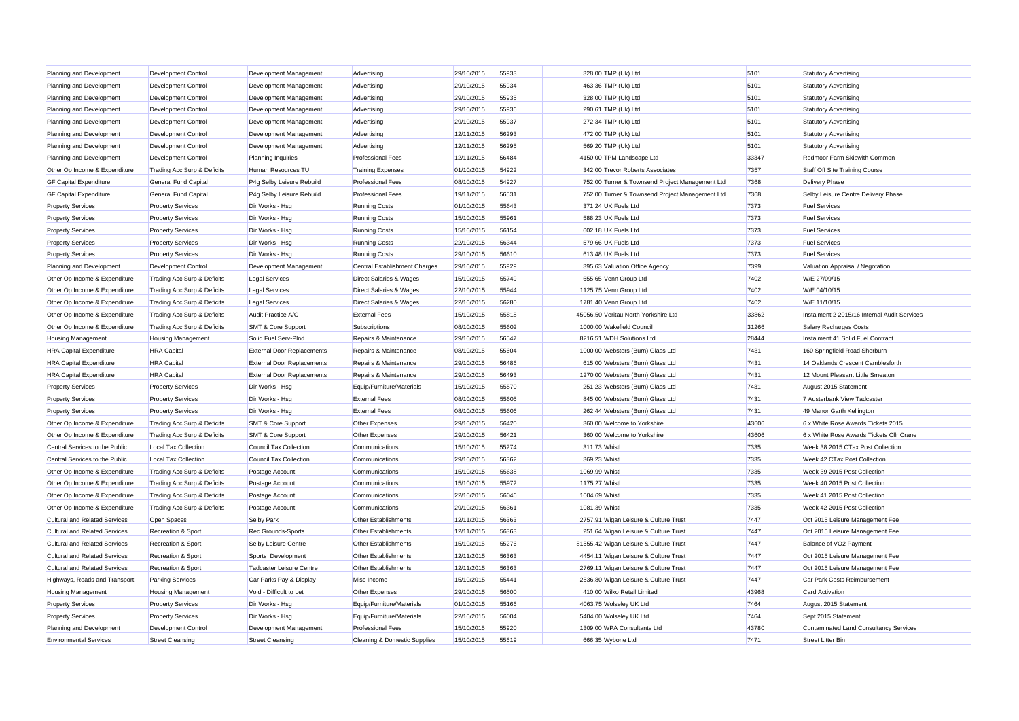| Planning and Development             | <b>Development Control</b>    | Development Management            | Advertising                        | 29/10/2015 | 55933 | 328.00 TMP (Uk) Ltd                             | 5101          | <b>Statutory Advertising</b>                    |
|--------------------------------------|-------------------------------|-----------------------------------|------------------------------------|------------|-------|-------------------------------------------------|---------------|-------------------------------------------------|
| Planning and Development             | <b>Development Control</b>    | Development Management            | Advertising                        | 29/10/2015 | 55934 | 463.36 TMP (Uk) Ltd                             | 5101          | <b>Statutory Advertising</b>                    |
| Planning and Development             | <b>Development Control</b>    | Development Management            | Advertising                        | 29/10/2015 | 55935 | 328.00 TMP (Uk) Ltd                             | 5101          | <b>Statutory Advertising</b>                    |
| Planning and Development             | Development Control           | Development Management            | Advertising                        | 29/10/2015 | 55936 | 290.61 TMP (Uk) Ltd                             | 5101          | <b>Statutory Advertising</b>                    |
| Planning and Development             | Development Control           | Development Management            | Advertising                        | 29/10/2015 | 55937 | 272.34 TMP (Uk) Ltd                             | 5101          | <b>Statutory Advertising</b>                    |
| Planning and Development             | <b>Development Control</b>    | Development Management            | Advertising                        | 12/11/2015 | 56293 | 472.00 TMP (Uk) Ltd                             | 5101          | <b>Statutory Advertising</b>                    |
| Planning and Development             | Development Control           | Development Management            | Advertising                        | 12/11/2015 | 56295 | 569.20 TMP (Uk) Ltd                             | 5101          | <b>Statutory Advertising</b>                    |
| Planning and Development             | Development Control           | <b>Planning Inquiries</b>         | <b>Professional Fees</b>           | 12/11/2015 | 56484 | 4150.00 TPM Landscape Ltd                       | 33347         | Redmoor Farm Skipwith Common                    |
| Other Op Income & Expenditure        | Trading Acc Surp & Deficits   | Human Resources TU                | <b>Training Expenses</b>           | 01/10/2015 | 54922 | 342.00 Trevor Roberts Associates                | 7357          | Staff Off Site Training Course                  |
| <b>GF Capital Expenditure</b>        | General Fund Capital          | P4g Selby Leisure Rebuild         | <b>Professional Fees</b>           | 08/10/2015 | 54927 | 752.00 Turner & Townsend Project Management Ltd | 7368          | Delivery Phase                                  |
| <b>GF Capital Expenditure</b>        | General Fund Capital          | P4g Selby Leisure Rebuild         | <b>Professional Fees</b>           | 19/11/2015 | 56531 | 752.00 Turner & Townsend Project Management Ltd | 7368          | Selby Leisure Centre Delivery Phase             |
| <b>Property Services</b>             | <b>Property Services</b>      | Dir Works - Hsg                   | <b>Running Costs</b>               | 01/10/2015 | 55643 | 371.24 UK Fuels Ltd                             | 7373          | <b>Fuel Services</b>                            |
| <b>Property Services</b>             | <b>Property Services</b>      | Dir Works - Hsg                   | Running Costs                      | 15/10/2015 | 55961 | 588.23 UK Fuels Ltd                             | 7373          | <b>Fuel Services</b>                            |
| <b>Property Services</b>             | <b>Property Services</b>      | Dir Works - Hsg                   | <b>Running Costs</b>               | 15/10/2015 | 56154 | 602.18 UK Fuels Ltd                             | 7373          | <b>Fuel Services</b>                            |
| <b>Property Services</b>             | <b>Property Services</b>      | Dir Works - Hsg                   | <b>Running Costs</b>               | 22/10/2015 | 56344 | 579.66 UK Fuels Ltd                             | 7373          | <b>Fuel Services</b>                            |
| <b>Property Services</b>             | <b>Property Services</b>      | Dir Works - Hsg                   | <b>Running Costs</b>               | 29/10/2015 | 56610 | 613.48 UK Fuels Ltd                             | 7373          | <b>Fuel Services</b>                            |
| Planning and Development             | Development Control           | Development Management            | Central Establishment Charges      | 29/10/2015 | 55929 | 395.63 Valuation Office Agency                  | 7399          | Valuation Appraisal / Negotation                |
| Other Op Income & Expenditure        | Trading Acc Surp & Deficits   | <b>Legal Services</b>             | Direct Salaries & Wages            | 15/10/2015 | 55749 | 655.65 Venn Group Ltd                           | 7402          | W/E 27/09/15                                    |
|                                      |                               |                                   |                                    |            | 55944 | 1125.75 Venn Group Ltd                          | 7402          | W/E 04/10/15                                    |
| Other Op Income & Expenditure        | Trading Acc Surp & Deficits   | <b>Legal Services</b>             | Direct Salaries & Wages            | 22/10/2015 |       |                                                 |               |                                                 |
| Other Op Income & Expenditure        | Trading Acc Surp & Deficits   | <b>Legal Services</b>             | <b>Direct Salaries &amp; Wages</b> | 22/10/2015 | 56280 | 1781.40 Venn Group Ltd                          | 7402          | W/E 11/10/15                                    |
| Other Op Income & Expenditure        | Trading Acc Surp & Deficits   | Audit Practice A/C                | <b>External Fees</b>               | 15/10/2015 | 55818 | 45056.50 Veritau North Yorkshire Ltd            | 33862         | Instalment 2 2015/16 Internal Audit Services    |
| Other Op Income & Expenditure        | Trading Acc Surp & Deficits   | SMT & Core Support                | Subscriptions                      | 08/10/2015 | 55602 | 1000.00 Wakefield Council                       | 31266         | Salary Recharges Costs                          |
| <b>Housing Management</b>            | <b>Housing Management</b>     | Solid Fuel Serv-PInd              | Repairs & Maintenance              | 29/10/2015 | 56547 | 8216.51 WDH Solutions Ltd                       | 28444         | Instalment 41 Solid Fuel Contract               |
| <b>HRA Capital Expenditure</b>       | <b>HRA</b> Capital            | <b>External Door Replacements</b> | Repairs & Maintenance              | 08/10/2015 | 55604 | 1000.00 Websters (Burn) Glass Ltd               | 7431          | 160 Springfield Road Sherburr                   |
| <b>HRA Capital Expenditure</b>       | <b>HRA</b> Capital            | <b>External Door Replacements</b> | Repairs & Maintenance              | 29/10/2015 | 56486 | 615.00 Websters (Burn) Glass Ltd                | 7431          | 14 Oaklands Crescent Camblesforth               |
| <b>HRA Capital Expenditure</b>       | <b>HRA</b> Capital            | <b>External Door Replacements</b> | Repairs & Maintenance              | 29/10/2015 | 56493 | 1270.00 Websters (Burn) Glass Ltd               | 7431          | 12 Mount Pleasant Little Smeaton                |
| <b>Property Services</b>             | <b>Property Services</b>      | Dir Works - Hsg                   | Equip/Furniture/Materials          | 15/10/2015 | 55570 | 251.23 Websters (Burn) Glass Ltd                | 7431          | August 2015 Statement                           |
| <b>Property Services</b>             | <b>Property Services</b>      | Dir Works - Hsg                   | <b>External Fees</b>               | 08/10/2015 | 55605 | 845.00 Websters (Burn) Glass Ltd                | 7431          | 7 Austerbank View Tadcaster                     |
| <b>Property Services</b>             | <b>Property Services</b>      | Dir Works - Hsg                   | <b>External Fees</b>               | 08/10/2015 | 55606 | 262.44 Websters (Burn) Glass Ltd                | 7431          | 49 Manor Garth Kellington                       |
| Other Op Income & Expenditure        | Trading Acc Surp & Deficits   | SMT & Core Support                | Other Expenses                     | 29/10/2015 | 56420 | 360.00 Welcome to Yorkshire                     | 43606         | 6 x White Rose Awards Tickets 2015              |
| Other Op Income & Expenditure        | Trading Acc Surp & Deficits   | <b>SMT &amp; Core Support</b>     | Other Expenses                     | 29/10/2015 | 56421 | 360.00 Welcome to Yorkshire                     | 43606         | 6 x White Rose Awards Tickets Cllr Crane        |
| Central Services to the Public       | Local Tax Collection          | Council Tax Collection            | Communications                     | 15/10/2015 | 55274 | 311.73 Whistl                                   | 7335          | Week 38 2015 CTax Post Collection               |
| Central Services to the Public       | Local Tax Collection          | <b>Council Tax Collection</b>     | Communications                     | 29/10/2015 | 56362 | 369.23 Whistl                                   | 7335          | Week 42 CTax Post Collection                    |
| Other Op Income & Expenditure        | Trading Acc Surp & Deficits   | Postage Account                   | Communications                     | 15/10/2015 | 55638 | 1069.99 Whistl                                  | 7335          | Week 39 2015 Post Collection                    |
| Other Op Income & Expenditure        | Trading Acc Surp & Deficits   | Postage Account                   | Communications                     | 15/10/2015 | 55972 | 1175.27 Whistl                                  | 7335          | Week 40 2015 Post Collection                    |
| Other Op Income & Expenditure        | Trading Acc Surp & Deficits   | Postage Account                   | Communications                     | 22/10/2015 | 56046 | 1004.69 Whistl                                  | 7335          | Week 41 2015 Post Collection                    |
| Other Op Income & Expenditure        | Trading Acc Surp & Deficits   | Postage Account                   | Communications                     | 29/10/2015 | 56361 | 1081.39 Whistl                                  | 7335          | Week 42 2015 Post Collection                    |
| <b>Cultural and Related Services</b> | Open Spaces                   | <b>Selby Park</b>                 | <b>Other Establishments</b>        | 12/11/2015 | 56363 | 2757.91 Wigan Leisure & Culture Trust           | 7447          | Oct 2015 Leisure Management Fee                 |
| <b>Cultural and Related Services</b> | Recreation & Sport            | <b>Rec Grounds-Sports</b>         | Other Establishments               | 12/11/2015 | 56363 | 251.64 Wigan Leisure & Culture Trust            | 7447          | Oct 2015 Leisure Management Fee                 |
| Cultural and Related Services        | Recreation & Sport            | Selby Leisure Centre              | Other Establishments               | 15/10/2015 | 55276 | 81555.42 Wigan Leisure & Culture Trust          | 7447          | Balance of VO2 Payment                          |
| <b>Cultural and Related Services</b> | <b>Recreation &amp; Sport</b> | Sports Development                | Other Establishments               | 12/11/2015 | 56363 | 4454.11 Wigan Leisure & Culture Trust           | 7447          | Oct 2015 Leisure Management Fee                 |
| <b>Cultural and Related Services</b> | Recreation & Sport            | Tadcaster Leisure Centre          | Other Establishments               | 12/11/2015 | 56363 | 2769.11 Wigan Leisure & Culture Trust           | 7447          | Oct 2015 Leisure Management Fee                 |
|                                      |                               |                                   |                                    |            |       |                                                 |               |                                                 |
| Highways, Roads and Transport        | <b>Parking Services</b>       | Car Parks Pay & Display           | Misc Income                        | 15/10/2015 | 55441 | 2536.80 Wigan Leisure & Culture Trust           | 7447<br>43968 | Car Park Costs Reimbursement<br>Card Activation |
| <b>Housing Management</b>            | <b>Housing Management</b>     | Void - Difficult to Let           | Other Expenses                     | 29/10/2015 | 56500 | 410.00 Wilko Retail Limited                     |               |                                                 |
| <b>Property Services</b>             | <b>Property Services</b>      | Dir Works - Hsg                   | Equip/Furniture/Materials          | 01/10/2015 | 55166 | 4063.75 Wolseley UK Ltd                         | 7464          | August 2015 Statement                           |
| <b>Property Services</b>             | <b>Property Services</b>      | Dir Works - Hsg                   | Equip/Furniture/Materials          | 22/10/2015 | 56004 | 5404.00 Wolseley UK Ltd                         | 7464          | Sept 2015 Statement                             |
| Planning and Development             | <b>Development Control</b>    | Development Management            | <b>Professional Fees</b>           | 15/10/2015 | 55920 | 1309.00 WPA Consultants Ltd                     | 43780         | <b>Contaminated Land Consultancy Services</b>   |
| <b>Environmental Services</b>        | Street Cleansing              | <b>Street Cleansing</b>           | Cleaning & Domestic Supplies       | 15/10/2015 | 55619 | 666.35 Wybone Ltd                               | 7471          | <b>Street Litter Bin</b>                        |